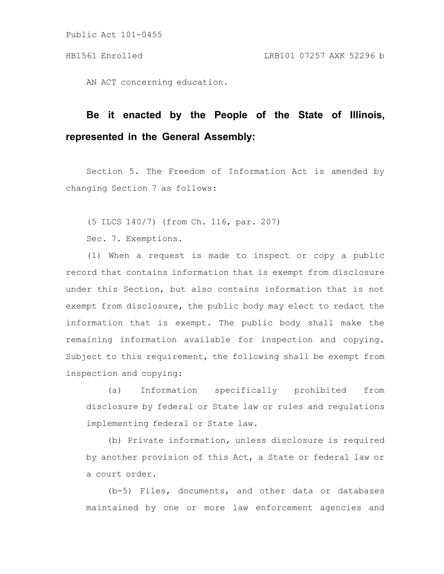AN ACT concerning education.

# **Be it enacted by the People of the State of Illinois, represented in the General Assembly:**

Section 5. The Freedom of Information Act is amended by changing Section 7 as follows:

(5 ILCS 140/7) (from Ch. 116, par. 207)

Sec. 7. Exemptions.

(1) When a request is made to inspect or copy a public record that contains information that is exempt from disclosure under this Section, but also contains information that is not exempt from disclosure, the public body may elect to redact the information that is exempt. The public body shall make the remaining information available for inspection and copying. Subject to this requirement, the following shall be exempt from inspection and copying:

(a) Information specifically prohibited from disclosure by federal or State law or rules and regulations implementing federal or State law.

(b) Private information, unless disclosure is required by another provision of this Act, a State or federal law or a court order.

(b-5) Files, documents, and other data or databases maintained by one or more law enforcement agencies and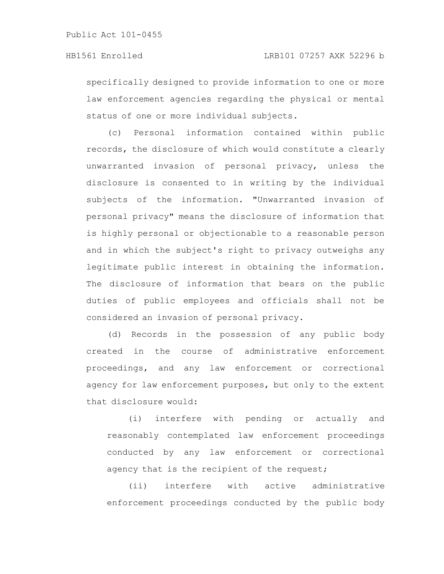specifically designed to provide information to one or more law enforcement agencies regarding the physical or mental status of one or more individual subjects.

(c) Personal information contained within public records, the disclosure of which would constitute a clearly unwarranted invasion of personal privacy, unless the disclosure is consented to in writing by the individual subjects of the information. "Unwarranted invasion of personal privacy" means the disclosure of information that is highly personal or objectionable to a reasonable person and in which the subject's right to privacy outweighs any legitimate public interest in obtaining the information. The disclosure of information that bears on the public duties of public employees and officials shall not be considered an invasion of personal privacy.

(d) Records in the possession of any public body created in the course of administrative enforcement proceedings, and any law enforcement or correctional agency for law enforcement purposes, but only to the extent that disclosure would:

(i) interfere with pending or actually and reasonably contemplated law enforcement proceedings conducted by any law enforcement or correctional agency that is the recipient of the request;

(ii) interfere with active administrative enforcement proceedings conducted by the public body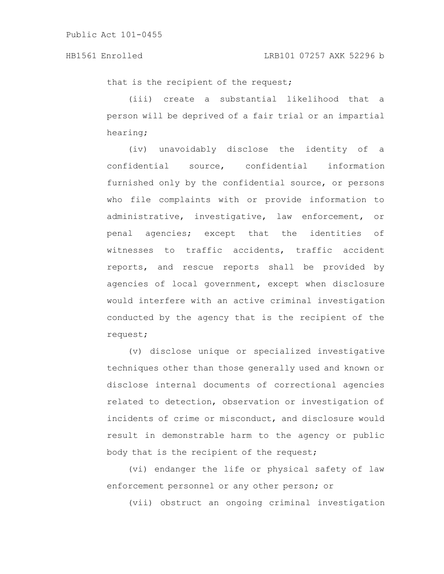that is the recipient of the request;

(iii) create a substantial likelihood that a person will be deprived of a fair trial or an impartial hearing;

(iv) unavoidably disclose the identity of a confidential source, confidential information furnished only by the confidential source, or persons who file complaints with or provide information to administrative, investigative, law enforcement, or penal agencies; except that the identities of witnesses to traffic accidents, traffic accident reports, and rescue reports shall be provided by agencies of local government, except when disclosure would interfere with an active criminal investigation conducted by the agency that is the recipient of the request;

(v) disclose unique or specialized investigative techniques other than those generally used and known or disclose internal documents of correctional agencies related to detection, observation or investigation of incidents of crime or misconduct, and disclosure would result in demonstrable harm to the agency or public body that is the recipient of the request;

(vi) endanger the life or physical safety of law enforcement personnel or any other person; or

(vii) obstruct an ongoing criminal investigation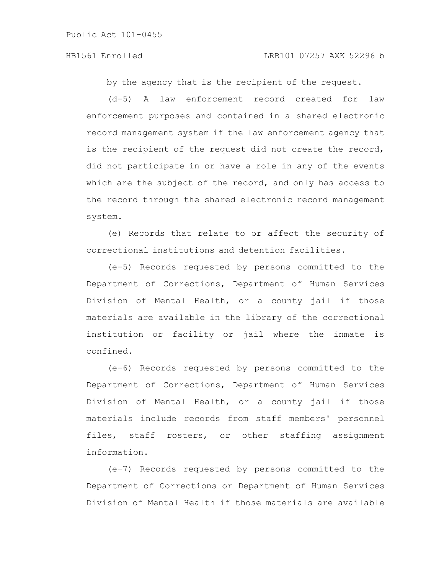#### HB1561 Enrolled LRB101 07257 AXK 52296 b

by the agency that is the recipient of the request.

(d-5) A law enforcement record created for law enforcement purposes and contained in a shared electronic record management system if the law enforcement agency that is the recipient of the request did not create the record, did not participate in or have a role in any of the events which are the subject of the record, and only has access to the record through the shared electronic record management system.

(e) Records that relate to or affect the security of correctional institutions and detention facilities.

(e-5) Records requested by persons committed to the Department of Corrections, Department of Human Services Division of Mental Health, or a county jail if those materials are available in the library of the correctional institution or facility or jail where the inmate is confined.

(e-6) Records requested by persons committed to the Department of Corrections, Department of Human Services Division of Mental Health, or a county jail if those materials include records from staff members' personnel files, staff rosters, or other staffing assignment information.

(e-7) Records requested by persons committed to the Department of Corrections or Department of Human Services Division of Mental Health if those materials are available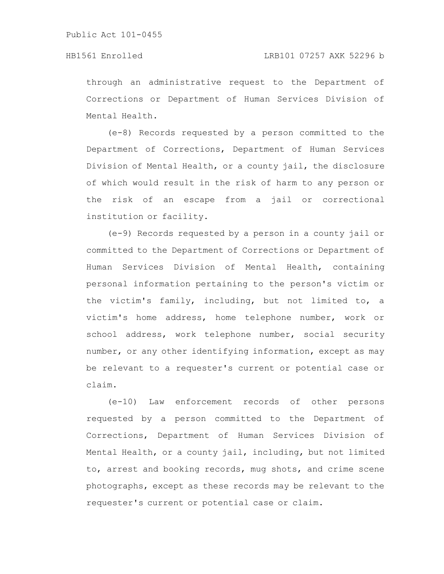through an administrative request to the Department of Corrections or Department of Human Services Division of Mental Health.

(e-8) Records requested by a person committed to the Department of Corrections, Department of Human Services Division of Mental Health, or a county jail, the disclosure of which would result in the risk of harm to any person or the risk of an escape from a jail or correctional institution or facility.

(e-9) Records requested by a person in a county jail or committed to the Department of Corrections or Department of Human Services Division of Mental Health, containing personal information pertaining to the person's victim or the victim's family, including, but not limited to, a victim's home address, home telephone number, work or school address, work telephone number, social security number, or any other identifying information, except as may be relevant to a requester's current or potential case or claim.

(e-10) Law enforcement records of other persons requested by a person committed to the Department of Corrections, Department of Human Services Division of Mental Health, or a county jail, including, but not limited to, arrest and booking records, mug shots, and crime scene photographs, except as these records may be relevant to the requester's current or potential case or claim.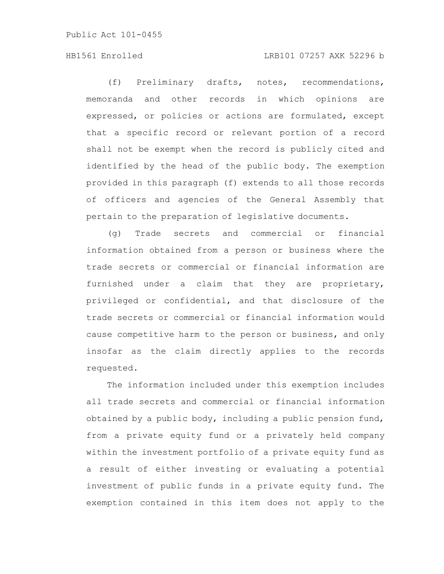### HB1561 Enrolled LRB101 07257 AXK 52296 b

(f) Preliminary drafts, notes, recommendations, memoranda and other records in which opinions are expressed, or policies or actions are formulated, except that a specific record or relevant portion of a record shall not be exempt when the record is publicly cited and identified by the head of the public body. The exemption provided in this paragraph (f) extends to all those records of officers and agencies of the General Assembly that pertain to the preparation of legislative documents.

(g) Trade secrets and commercial or financial information obtained from a person or business where the trade secrets or commercial or financial information are furnished under a claim that they are proprietary, privileged or confidential, and that disclosure of the trade secrets or commercial or financial information would cause competitive harm to the person or business, and only insofar as the claim directly applies to the records requested.

The information included under this exemption includes all trade secrets and commercial or financial information obtained by a public body, including a public pension fund, from a private equity fund or a privately held company within the investment portfolio of a private equity fund as a result of either investing or evaluating a potential investment of public funds in a private equity fund. The exemption contained in this item does not apply to the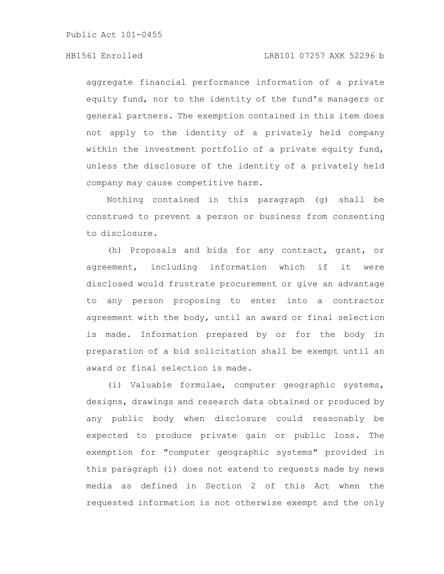### HB1561 Enrolled LRB101 07257 AXK 52296 b

aggregate financial performance information of a private equity fund, nor to the identity of the fund's managers or general partners. The exemption contained in this item does not apply to the identity of a privately held company within the investment portfolio of a private equity fund, unless the disclosure of the identity of a privately held company may cause competitive harm.

Nothing contained in this paragraph (g) shall be construed to prevent a person or business from consenting to disclosure.

(h) Proposals and bids for any contract, grant, or agreement, including information which if it were disclosed would frustrate procurement or give an advantage to any person proposing to enter into a contractor agreement with the body, until an award or final selection is made. Information prepared by or for the body in preparation of a bid solicitation shall be exempt until an award or final selection is made.

(i) Valuable formulae, computer geographic systems, designs, drawings and research data obtained or produced by any public body when disclosure could reasonably be expected to produce private gain or public loss. The exemption for "computer geographic systems" provided in this paragraph (i) does not extend to requests made by news media as defined in Section 2 of this Act when the requested information is not otherwise exempt and the only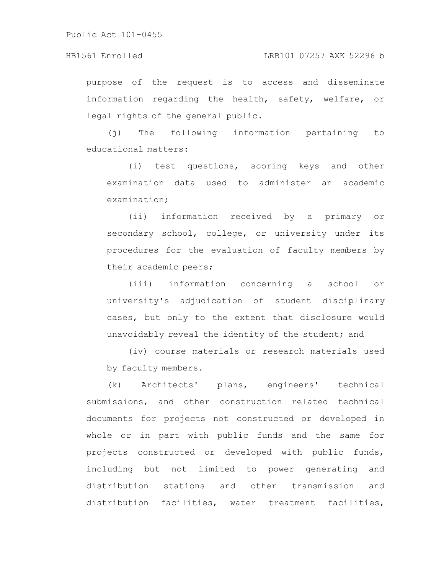purpose of the request is to access and disseminate information regarding the health, safety, welfare, or legal rights of the general public.

(j) The following information pertaining to educational matters:

(i) test questions, scoring keys and other examination data used to administer an academic examination;

(ii) information received by a primary or secondary school, college, or university under its procedures for the evaluation of faculty members by their academic peers;

(iii) information concerning a school or university's adjudication of student disciplinary cases, but only to the extent that disclosure would unavoidably reveal the identity of the student; and

(iv) course materials or research materials used by faculty members.

(k) Architects' plans, engineers' technical submissions, and other construction related technical documents for projects not constructed or developed in whole or in part with public funds and the same for projects constructed or developed with public funds, including but not limited to power generating and distribution stations and other transmission and distribution facilities, water treatment facilities,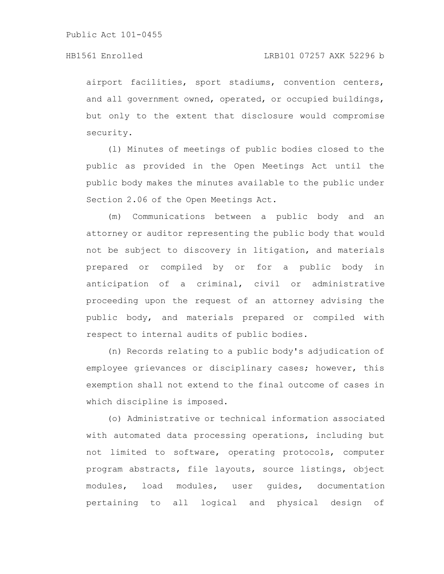#### HB1561 Enrolled LRB101 07257 AXK 52296 b

airport facilities, sport stadiums, convention centers, and all government owned, operated, or occupied buildings, but only to the extent that disclosure would compromise security.

(l) Minutes of meetings of public bodies closed to the public as provided in the Open Meetings Act until the public body makes the minutes available to the public under Section 2.06 of the Open Meetings Act.

(m) Communications between a public body and an attorney or auditor representing the public body that would not be subject to discovery in litigation, and materials prepared or compiled by or for a public body in anticipation of a criminal, civil or administrative proceeding upon the request of an attorney advising the public body, and materials prepared or compiled with respect to internal audits of public bodies.

(n) Records relating to a public body's adjudication of employee grievances or disciplinary cases; however, this exemption shall not extend to the final outcome of cases in which discipline is imposed.

(o) Administrative or technical information associated with automated data processing operations, including but not limited to software, operating protocols, computer program abstracts, file layouts, source listings, object modules, load modules, user guides, documentation pertaining to all logical and physical design of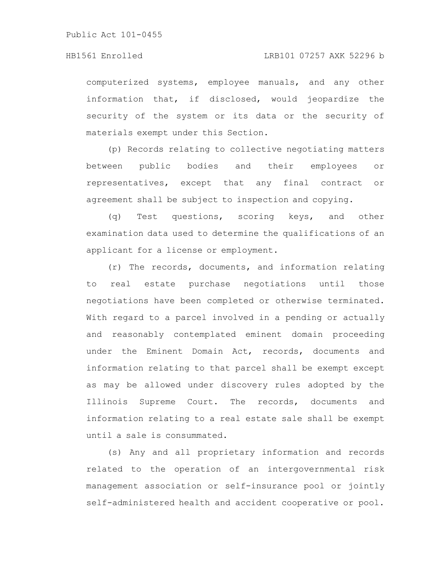computerized systems, employee manuals, and any other information that, if disclosed, would jeopardize the security of the system or its data or the security of materials exempt under this Section.

(p) Records relating to collective negotiating matters between public bodies and their employees or representatives, except that any final contract or agreement shall be subject to inspection and copying.

(q) Test questions, scoring keys, and other examination data used to determine the qualifications of an applicant for a license or employment.

(r) The records, documents, and information relating to real estate purchase negotiations until those negotiations have been completed or otherwise terminated. With regard to a parcel involved in a pending or actually and reasonably contemplated eminent domain proceeding under the Eminent Domain Act, records, documents and information relating to that parcel shall be exempt except as may be allowed under discovery rules adopted by the Illinois Supreme Court. The records, documents and information relating to a real estate sale shall be exempt until a sale is consummated.

(s) Any and all proprietary information and records related to the operation of an intergovernmental risk management association or self-insurance pool or jointly self-administered health and accident cooperative or pool.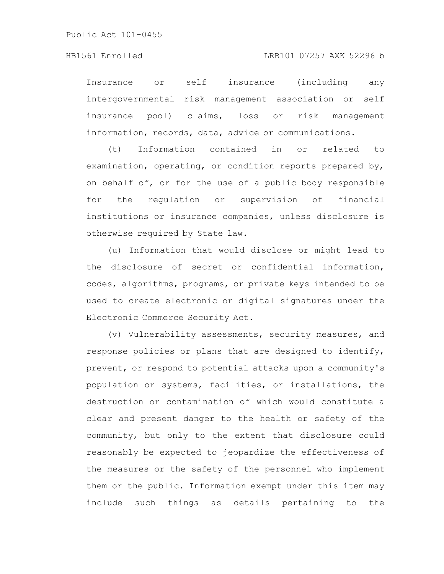Insurance or self insurance (including any intergovernmental risk management association or self insurance pool) claims, loss or risk management information, records, data, advice or communications.

(t) Information contained in or related to examination, operating, or condition reports prepared by, on behalf of, or for the use of a public body responsible for the regulation or supervision of financial institutions or insurance companies, unless disclosure is otherwise required by State law.

(u) Information that would disclose or might lead to the disclosure of secret or confidential information, codes, algorithms, programs, or private keys intended to be used to create electronic or digital signatures under the Electronic Commerce Security Act.

(v) Vulnerability assessments, security measures, and response policies or plans that are designed to identify, prevent, or respond to potential attacks upon a community's population or systems, facilities, or installations, the destruction or contamination of which would constitute a clear and present danger to the health or safety of the community, but only to the extent that disclosure could reasonably be expected to jeopardize the effectiveness of the measures or the safety of the personnel who implement them or the public. Information exempt under this item may include such things as details pertaining to the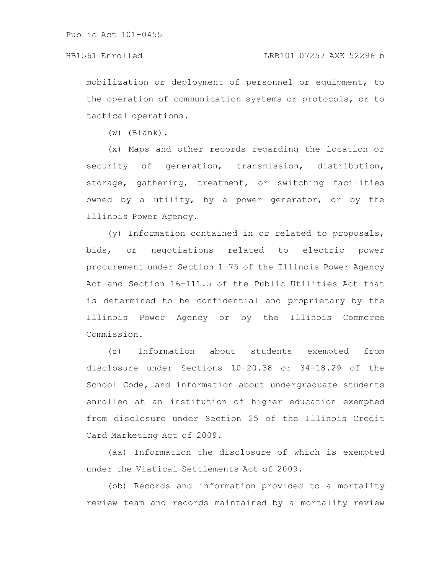mobilization or deployment of personnel or equipment, to the operation of communication systems or protocols, or to tactical operations.

(w) (Blank).

(x) Maps and other records regarding the location or security of generation, transmission, distribution, storage, gathering, treatment, or switching facilities owned by a utility, by a power generator, or by the Illinois Power Agency.

(y) Information contained in or related to proposals, bids, or negotiations related to electric power procurement under Section 1-75 of the Illinois Power Agency Act and Section 16-111.5 of the Public Utilities Act that is determined to be confidential and proprietary by the Illinois Power Agency or by the Illinois Commerce Commission.

(z) Information about students exempted from disclosure under Sections 10-20.38 or 34-18.29 of the School Code, and information about undergraduate students enrolled at an institution of higher education exempted from disclosure under Section 25 of the Illinois Credit Card Marketing Act of 2009.

(aa) Information the disclosure of which is exempted under the Viatical Settlements Act of 2009.

(bb) Records and information provided to a mortality review team and records maintained by a mortality review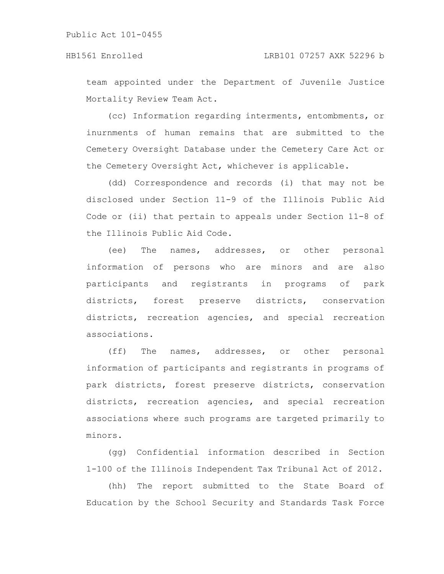team appointed under the Department of Juvenile Justice Mortality Review Team Act.

(cc) Information regarding interments, entombments, or inurnments of human remains that are submitted to the Cemetery Oversight Database under the Cemetery Care Act or the Cemetery Oversight Act, whichever is applicable.

(dd) Correspondence and records (i) that may not be disclosed under Section 11-9 of the Illinois Public Aid Code or (ii) that pertain to appeals under Section 11-8 of the Illinois Public Aid Code.

(ee) The names, addresses, or other personal information of persons who are minors and are also participants and registrants in programs of park districts, forest preserve districts, conservation districts, recreation agencies, and special recreation associations.

(ff) The names, addresses, or other personal information of participants and registrants in programs of park districts, forest preserve districts, conservation districts, recreation agencies, and special recreation associations where such programs are targeted primarily to minors.

(gg) Confidential information described in Section 1-100 of the Illinois Independent Tax Tribunal Act of 2012.

(hh) The report submitted to the State Board of Education by the School Security and Standards Task Force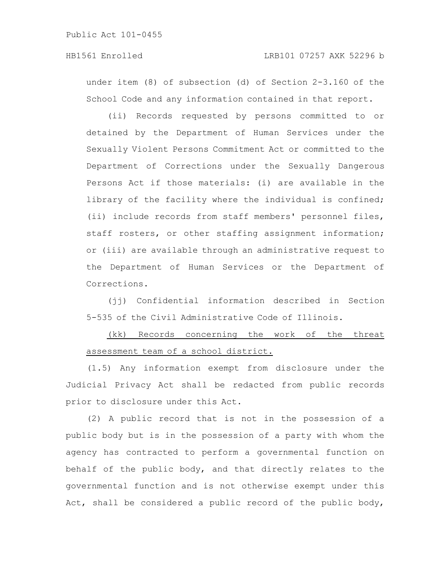under item (8) of subsection (d) of Section 2-3.160 of the School Code and any information contained in that report.

(ii) Records requested by persons committed to or detained by the Department of Human Services under the Sexually Violent Persons Commitment Act or committed to the Department of Corrections under the Sexually Dangerous Persons Act if those materials: (i) are available in the library of the facility where the individual is confined; (ii) include records from staff members' personnel files, staff rosters, or other staffing assignment information; or (iii) are available through an administrative request to the Department of Human Services or the Department of Corrections.

(jj) Confidential information described in Section 5-535 of the Civil Administrative Code of Illinois.

## (kk) Records concerning the work of the threat assessment team of a school district.

(1.5) Any information exempt from disclosure under the Judicial Privacy Act shall be redacted from public records prior to disclosure under this Act.

(2) A public record that is not in the possession of a public body but is in the possession of a party with whom the agency has contracted to perform a governmental function on behalf of the public body, and that directly relates to the governmental function and is not otherwise exempt under this Act, shall be considered a public record of the public body,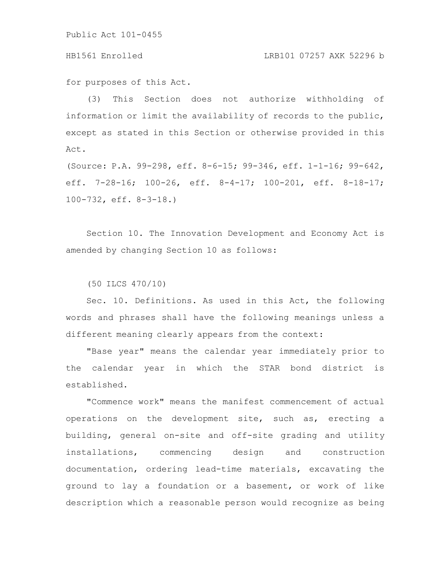#### HB1561 Enrolled LRB101 07257 AXK 52296 b

for purposes of this Act.

(3) This Section does not authorize withholding of information or limit the availability of records to the public, except as stated in this Section or otherwise provided in this Act.

(Source: P.A. 99-298, eff. 8-6-15; 99-346, eff. 1-1-16; 99-642, eff. 7-28-16; 100-26, eff. 8-4-17; 100-201, eff. 8-18-17; 100-732, eff. 8-3-18.)

Section 10. The Innovation Development and Economy Act is amended by changing Section 10 as follows:

(50 ILCS 470/10)

Sec. 10. Definitions. As used in this Act, the following words and phrases shall have the following meanings unless a different meaning clearly appears from the context:

"Base year" means the calendar year immediately prior to the calendar year in which the STAR bond district is established.

"Commence work" means the manifest commencement of actual operations on the development site, such as, erecting a building, general on-site and off-site grading and utility installations, commencing design and construction documentation, ordering lead-time materials, excavating the ground to lay a foundation or a basement, or work of like description which a reasonable person would recognize as being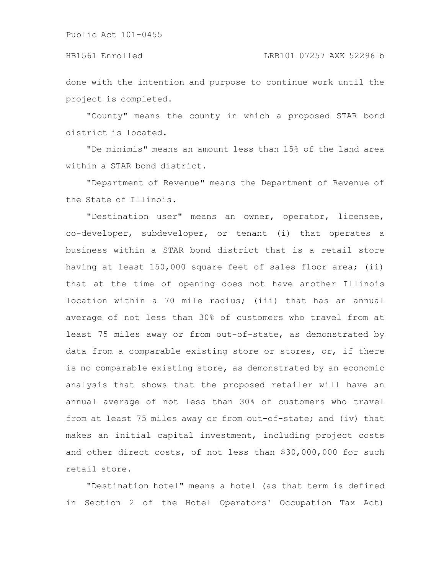done with the intention and purpose to continue work until the project is completed.

"County" means the county in which a proposed STAR bond district is located.

"De minimis" means an amount less than 15% of the land area within a STAR bond district.

"Department of Revenue" means the Department of Revenue of the State of Illinois.

"Destination user" means an owner, operator, licensee, co-developer, subdeveloper, or tenant (i) that operates a business within a STAR bond district that is a retail store having at least 150,000 square feet of sales floor area; (ii) that at the time of opening does not have another Illinois location within a 70 mile radius; (iii) that has an annual average of not less than 30% of customers who travel from at least 75 miles away or from out-of-state, as demonstrated by data from a comparable existing store or stores, or, if there is no comparable existing store, as demonstrated by an economic analysis that shows that the proposed retailer will have an annual average of not less than 30% of customers who travel from at least 75 miles away or from out-of-state; and (iv) that makes an initial capital investment, including project costs and other direct costs, of not less than \$30,000,000 for such retail store.

"Destination hotel" means a hotel (as that term is defined in Section 2 of the Hotel Operators' Occupation Tax Act)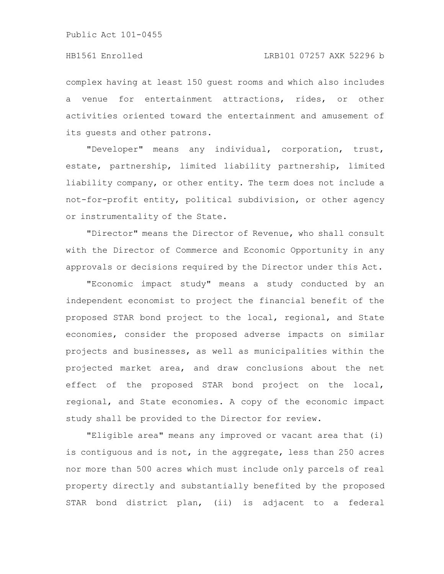complex having at least 150 guest rooms and which also includes a venue for entertainment attractions, rides, or other activities oriented toward the entertainment and amusement of its guests and other patrons.

"Developer" means any individual, corporation, trust, estate, partnership, limited liability partnership, limited liability company, or other entity. The term does not include a not-for-profit entity, political subdivision, or other agency or instrumentality of the State.

"Director" means the Director of Revenue, who shall consult with the Director of Commerce and Economic Opportunity in any approvals or decisions required by the Director under this Act.

"Economic impact study" means a study conducted by an independent economist to project the financial benefit of the proposed STAR bond project to the local, regional, and State economies, consider the proposed adverse impacts on similar projects and businesses, as well as municipalities within the projected market area, and draw conclusions about the net effect of the proposed STAR bond project on the local, regional, and State economies. A copy of the economic impact study shall be provided to the Director for review.

"Eligible area" means any improved or vacant area that (i) is contiguous and is not, in the aggregate, less than 250 acres nor more than 500 acres which must include only parcels of real property directly and substantially benefited by the proposed STAR bond district plan, (ii) is adjacent to a federal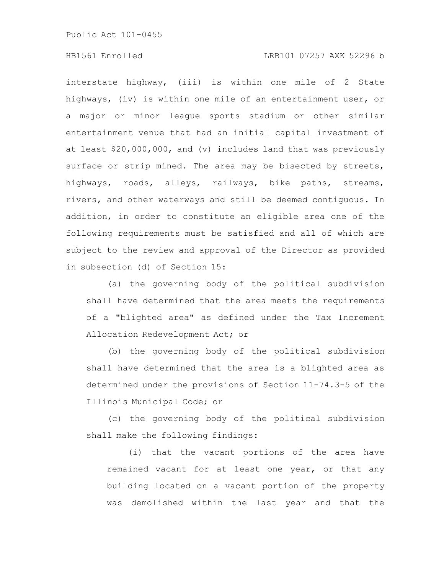### HB1561 Enrolled LRB101 07257 AXK 52296 b

interstate highway, (iii) is within one mile of 2 State highways, (iv) is within one mile of an entertainment user, or a major or minor league sports stadium or other similar entertainment venue that had an initial capital investment of at least \$20,000,000, and (v) includes land that was previously surface or strip mined. The area may be bisected by streets, highways, roads, alleys, railways, bike paths, streams, rivers, and other waterways and still be deemed contiguous. In addition, in order to constitute an eligible area one of the following requirements must be satisfied and all of which are subject to the review and approval of the Director as provided in subsection (d) of Section 15:

(a) the governing body of the political subdivision shall have determined that the area meets the requirements of a "blighted area" as defined under the Tax Increment Allocation Redevelopment Act; or

(b) the governing body of the political subdivision shall have determined that the area is a blighted area as determined under the provisions of Section 11-74.3-5 of the Illinois Municipal Code; or

(c) the governing body of the political subdivision shall make the following findings:

(i) that the vacant portions of the area have remained vacant for at least one year, or that any building located on a vacant portion of the property was demolished within the last year and that the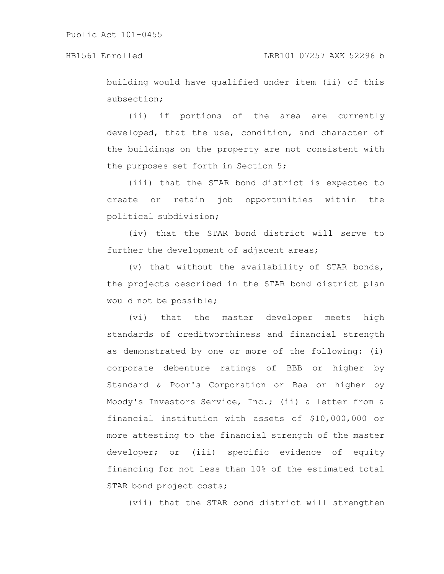building would have qualified under item (ii) of this subsection;

(ii) if portions of the area are currently developed, that the use, condition, and character of the buildings on the property are not consistent with the purposes set forth in Section 5;

(iii) that the STAR bond district is expected to create or retain job opportunities within the political subdivision;

(iv) that the STAR bond district will serve to further the development of adjacent areas;

(v) that without the availability of STAR bonds, the projects described in the STAR bond district plan would not be possible;

(vi) that the master developer meets high standards of creditworthiness and financial strength as demonstrated by one or more of the following: (i) corporate debenture ratings of BBB or higher by Standard & Poor's Corporation or Baa or higher by Moody's Investors Service, Inc.; (ii) a letter from a financial institution with assets of \$10,000,000 or more attesting to the financial strength of the master developer; or (iii) specific evidence of equity financing for not less than 10% of the estimated total STAR bond project costs;

(vii) that the STAR bond district will strengthen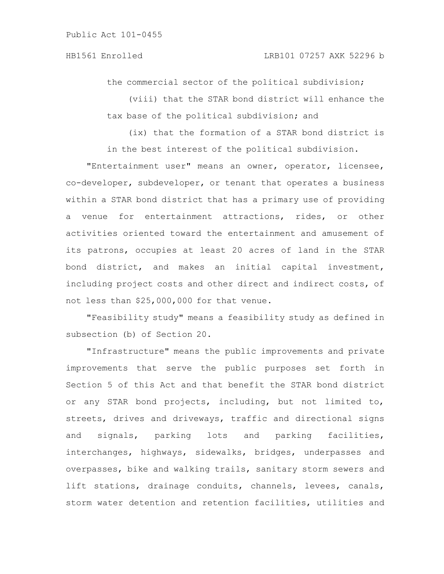the commercial sector of the political subdivision;

(viii) that the STAR bond district will enhance the tax base of the political subdivision; and

(ix) that the formation of a STAR bond district is in the best interest of the political subdivision.

"Entertainment user" means an owner, operator, licensee, co-developer, subdeveloper, or tenant that operates a business within a STAR bond district that has a primary use of providing a venue for entertainment attractions, rides, or other activities oriented toward the entertainment and amusement of its patrons, occupies at least 20 acres of land in the STAR bond district, and makes an initial capital investment, including project costs and other direct and indirect costs, of not less than \$25,000,000 for that venue.

"Feasibility study" means a feasibility study as defined in subsection (b) of Section 20.

"Infrastructure" means the public improvements and private improvements that serve the public purposes set forth in Section 5 of this Act and that benefit the STAR bond district or any STAR bond projects, including, but not limited to, streets, drives and driveways, traffic and directional signs and signals, parking lots and parking facilities, interchanges, highways, sidewalks, bridges, underpasses and overpasses, bike and walking trails, sanitary storm sewers and lift stations, drainage conduits, channels, levees, canals, storm water detention and retention facilities, utilities and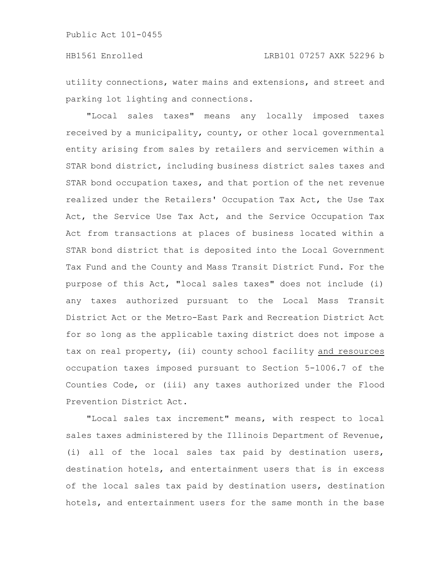utility connections, water mains and extensions, and street and parking lot lighting and connections.

"Local sales taxes" means any locally imposed taxes received by a municipality, county, or other local governmental entity arising from sales by retailers and servicemen within a STAR bond district, including business district sales taxes and STAR bond occupation taxes, and that portion of the net revenue realized under the Retailers' Occupation Tax Act, the Use Tax Act, the Service Use Tax Act, and the Service Occupation Tax Act from transactions at places of business located within a STAR bond district that is deposited into the Local Government Tax Fund and the County and Mass Transit District Fund. For the purpose of this Act, "local sales taxes" does not include (i) any taxes authorized pursuant to the Local Mass Transit District Act or the Metro-East Park and Recreation District Act for so long as the applicable taxing district does not impose a tax on real property, (ii) county school facility and resources occupation taxes imposed pursuant to Section 5-1006.7 of the Counties Code, or (iii) any taxes authorized under the Flood Prevention District Act.

"Local sales tax increment" means, with respect to local sales taxes administered by the Illinois Department of Revenue, (i) all of the local sales tax paid by destination users, destination hotels, and entertainment users that is in excess of the local sales tax paid by destination users, destination hotels, and entertainment users for the same month in the base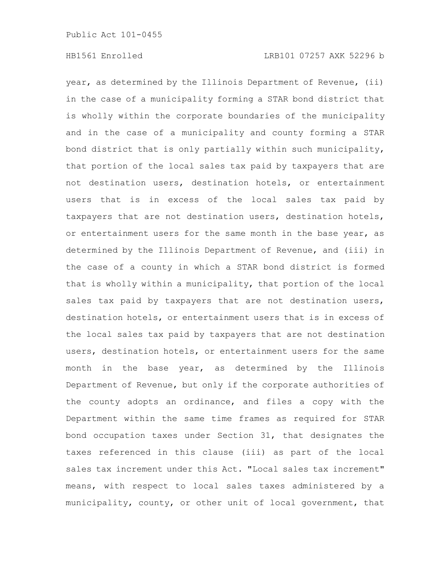year, as determined by the Illinois Department of Revenue, (ii) in the case of a municipality forming a STAR bond district that is wholly within the corporate boundaries of the municipality and in the case of a municipality and county forming a STAR bond district that is only partially within such municipality, that portion of the local sales tax paid by taxpayers that are not destination users, destination hotels, or entertainment users that is in excess of the local sales tax paid by taxpayers that are not destination users, destination hotels, or entertainment users for the same month in the base year, as determined by the Illinois Department of Revenue, and (iii) in the case of a county in which a STAR bond district is formed that is wholly within a municipality, that portion of the local sales tax paid by taxpayers that are not destination users, destination hotels, or entertainment users that is in excess of the local sales tax paid by taxpayers that are not destination users, destination hotels, or entertainment users for the same month in the base year, as determined by the Illinois Department of Revenue, but only if the corporate authorities of the county adopts an ordinance, and files a copy with the Department within the same time frames as required for STAR bond occupation taxes under Section 31, that designates the taxes referenced in this clause (iii) as part of the local sales tax increment under this Act. "Local sales tax increment" means, with respect to local sales taxes administered by a municipality, county, or other unit of local government, that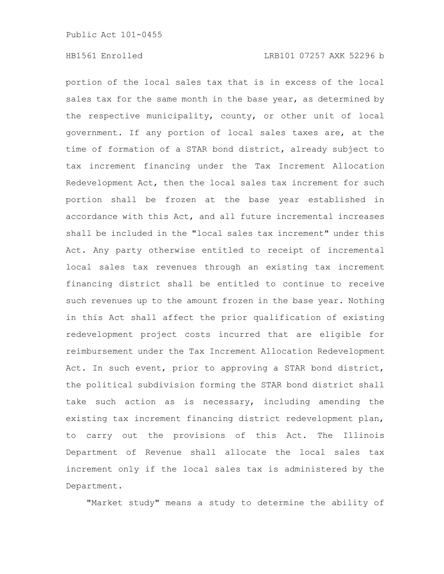portion of the local sales tax that is in excess of the local sales tax for the same month in the base year, as determined by the respective municipality, county, or other unit of local government. If any portion of local sales taxes are, at the time of formation of a STAR bond district, already subject to tax increment financing under the Tax Increment Allocation Redevelopment Act, then the local sales tax increment for such portion shall be frozen at the base year established in accordance with this Act, and all future incremental increases shall be included in the "local sales tax increment" under this Act. Any party otherwise entitled to receipt of incremental local sales tax revenues through an existing tax increment financing district shall be entitled to continue to receive such revenues up to the amount frozen in the base year. Nothing in this Act shall affect the prior qualification of existing redevelopment project costs incurred that are eligible for reimbursement under the Tax Increment Allocation Redevelopment Act. In such event, prior to approving a STAR bond district, the political subdivision forming the STAR bond district shall take such action as is necessary, including amending the existing tax increment financing district redevelopment plan, to carry out the provisions of this Act. The Illinois Department of Revenue shall allocate the local sales tax increment only if the local sales tax is administered by the Department.

"Market study" means a study to determine the ability of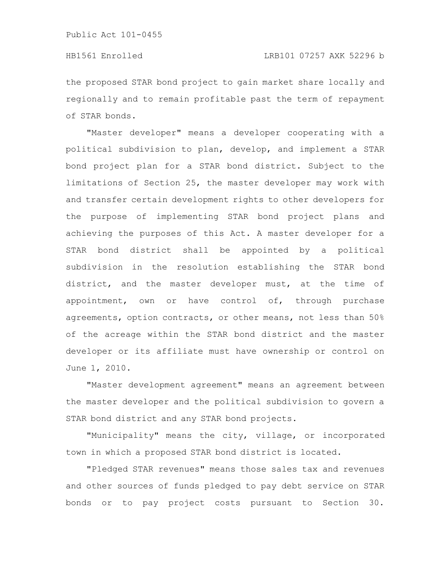the proposed STAR bond project to gain market share locally and regionally and to remain profitable past the term of repayment of STAR bonds.

"Master developer" means a developer cooperating with a political subdivision to plan, develop, and implement a STAR bond project plan for a STAR bond district. Subject to the limitations of Section 25, the master developer may work with and transfer certain development rights to other developers for the purpose of implementing STAR bond project plans and achieving the purposes of this Act. A master developer for a STAR bond district shall be appointed by a political subdivision in the resolution establishing the STAR bond district, and the master developer must, at the time of appointment, own or have control of, through purchase agreements, option contracts, or other means, not less than 50% of the acreage within the STAR bond district and the master developer or its affiliate must have ownership or control on June 1, 2010.

"Master development agreement" means an agreement between the master developer and the political subdivision to govern a STAR bond district and any STAR bond projects.

"Municipality" means the city, village, or incorporated town in which a proposed STAR bond district is located.

"Pledged STAR revenues" means those sales tax and revenues and other sources of funds pledged to pay debt service on STAR bonds or to pay project costs pursuant to Section 30.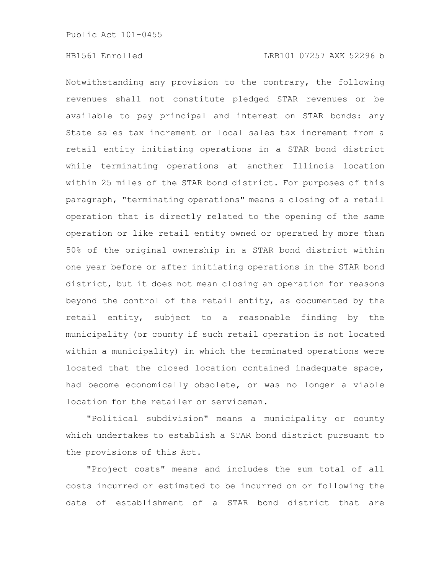Notwithstanding any provision to the contrary, the following revenues shall not constitute pledged STAR revenues or be available to pay principal and interest on STAR bonds: any State sales tax increment or local sales tax increment from a retail entity initiating operations in a STAR bond district while terminating operations at another Illinois location within 25 miles of the STAR bond district. For purposes of this paragraph, "terminating operations" means a closing of a retail operation that is directly related to the opening of the same operation or like retail entity owned or operated by more than 50% of the original ownership in a STAR bond district within one year before or after initiating operations in the STAR bond district, but it does not mean closing an operation for reasons beyond the control of the retail entity, as documented by the retail entity, subject to a reasonable finding by the municipality (or county if such retail operation is not located within a municipality) in which the terminated operations were located that the closed location contained inadequate space, had become economically obsolete, or was no longer a viable location for the retailer or serviceman.

"Political subdivision" means a municipality or county which undertakes to establish a STAR bond district pursuant to the provisions of this Act.

"Project costs" means and includes the sum total of all costs incurred or estimated to be incurred on or following the date of establishment of a STAR bond district that are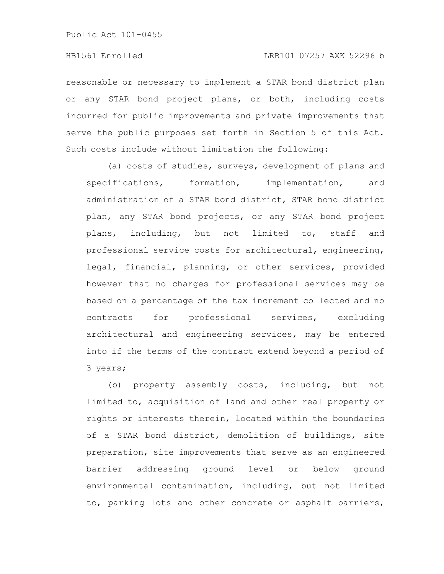reasonable or necessary to implement a STAR bond district plan or any STAR bond project plans, or both, including costs incurred for public improvements and private improvements that serve the public purposes set forth in Section 5 of this Act. Such costs include without limitation the following:

(a) costs of studies, surveys, development of plans and specifications, formation, implementation, and administration of a STAR bond district, STAR bond district plan, any STAR bond projects, or any STAR bond project plans, including, but not limited to, staff and professional service costs for architectural, engineering, legal, financial, planning, or other services, provided however that no charges for professional services may be based on a percentage of the tax increment collected and no contracts for professional services, excluding architectural and engineering services, may be entered into if the terms of the contract extend beyond a period of 3 years;

(b) property assembly costs, including, but not limited to, acquisition of land and other real property or rights or interests therein, located within the boundaries of a STAR bond district, demolition of buildings, site preparation, site improvements that serve as an engineered barrier addressing ground level or below ground environmental contamination, including, but not limited to, parking lots and other concrete or asphalt barriers,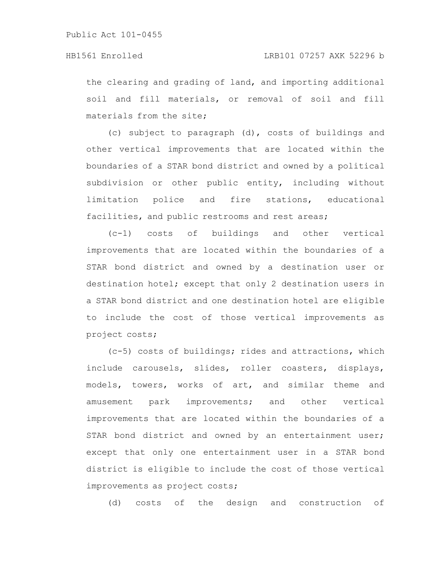the clearing and grading of land, and importing additional soil and fill materials, or removal of soil and fill materials from the site;

(c) subject to paragraph (d), costs of buildings and other vertical improvements that are located within the boundaries of a STAR bond district and owned by a political subdivision or other public entity, including without limitation police and fire stations, educational facilities, and public restrooms and rest areas;

(c-1) costs of buildings and other vertical improvements that are located within the boundaries of a STAR bond district and owned by a destination user or destination hotel; except that only 2 destination users in a STAR bond district and one destination hotel are eligible to include the cost of those vertical improvements as project costs;

(c-5) costs of buildings; rides and attractions, which include carousels, slides, roller coasters, displays, models, towers, works of art, and similar theme and amusement park improvements; and other vertical improvements that are located within the boundaries of a STAR bond district and owned by an entertainment user; except that only one entertainment user in a STAR bond district is eligible to include the cost of those vertical improvements as project costs;

(d) costs of the design and construction of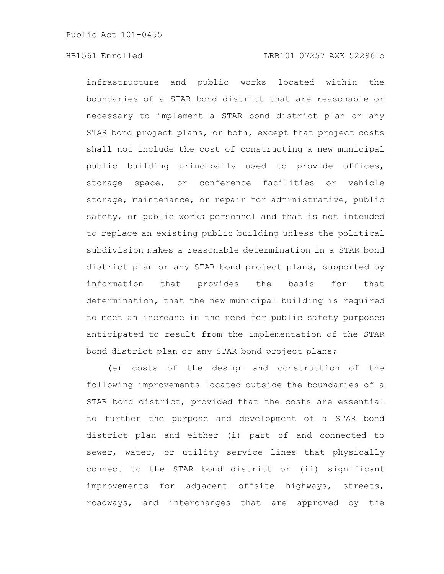infrastructure and public works located within the boundaries of a STAR bond district that are reasonable or necessary to implement a STAR bond district plan or any STAR bond project plans, or both, except that project costs shall not include the cost of constructing a new municipal public building principally used to provide offices, storage space, or conference facilities or vehicle storage, maintenance, or repair for administrative, public safety, or public works personnel and that is not intended to replace an existing public building unless the political subdivision makes a reasonable determination in a STAR bond district plan or any STAR bond project plans, supported by information that provides the basis for that determination, that the new municipal building is required to meet an increase in the need for public safety purposes anticipated to result from the implementation of the STAR bond district plan or any STAR bond project plans;

(e) costs of the design and construction of the following improvements located outside the boundaries of a STAR bond district, provided that the costs are essential to further the purpose and development of a STAR bond district plan and either (i) part of and connected to sewer, water, or utility service lines that physically connect to the STAR bond district or (ii) significant improvements for adjacent offsite highways, streets, roadways, and interchanges that are approved by the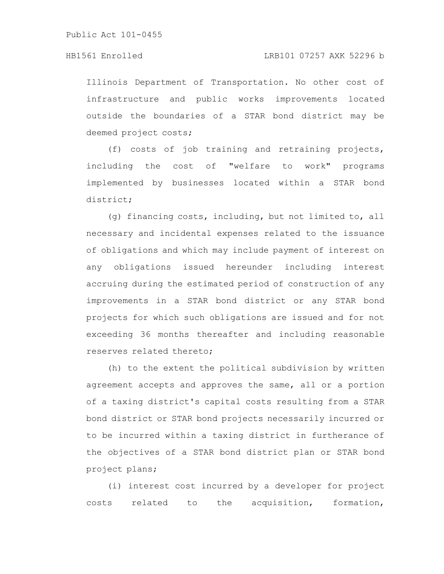Illinois Department of Transportation. No other cost of infrastructure and public works improvements located outside the boundaries of a STAR bond district may be deemed project costs;

(f) costs of job training and retraining projects, including the cost of "welfare to work" programs implemented by businesses located within a STAR bond district;

(g) financing costs, including, but not limited to, all necessary and incidental expenses related to the issuance of obligations and which may include payment of interest on any obligations issued hereunder including interest accruing during the estimated period of construction of any improvements in a STAR bond district or any STAR bond projects for which such obligations are issued and for not exceeding 36 months thereafter and including reasonable reserves related thereto;

(h) to the extent the political subdivision by written agreement accepts and approves the same, all or a portion of a taxing district's capital costs resulting from a STAR bond district or STAR bond projects necessarily incurred or to be incurred within a taxing district in furtherance of the objectives of a STAR bond district plan or STAR bond project plans;

(i) interest cost incurred by a developer for project costs related to the acquisition, formation,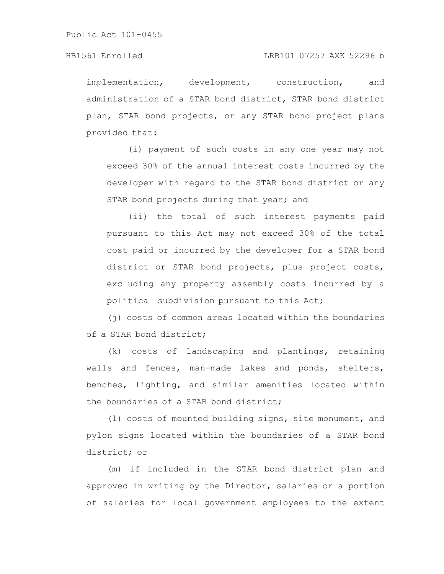implementation, development, construction, and administration of a STAR bond district, STAR bond district plan, STAR bond projects, or any STAR bond project plans provided that:

(i) payment of such costs in any one year may not exceed 30% of the annual interest costs incurred by the developer with regard to the STAR bond district or any STAR bond projects during that year; and

(ii) the total of such interest payments paid pursuant to this Act may not exceed 30% of the total cost paid or incurred by the developer for a STAR bond district or STAR bond projects, plus project costs, excluding any property assembly costs incurred by a political subdivision pursuant to this Act;

(j) costs of common areas located within the boundaries of a STAR bond district;

(k) costs of landscaping and plantings, retaining walls and fences, man-made lakes and ponds, shelters, benches, lighting, and similar amenities located within the boundaries of a STAR bond district;

(l) costs of mounted building signs, site monument, and pylon signs located within the boundaries of a STAR bond district; or

(m) if included in the STAR bond district plan and approved in writing by the Director, salaries or a portion of salaries for local government employees to the extent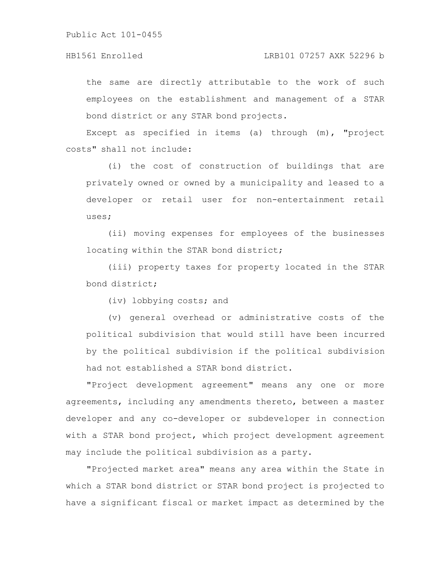the same are directly attributable to the work of such employees on the establishment and management of a STAR bond district or any STAR bond projects.

Except as specified in items (a) through (m), "project costs" shall not include:

(i) the cost of construction of buildings that are privately owned or owned by a municipality and leased to a developer or retail user for non-entertainment retail uses;

(ii) moving expenses for employees of the businesses locating within the STAR bond district;

(iii) property taxes for property located in the STAR bond district;

(iv) lobbying costs; and

(v) general overhead or administrative costs of the political subdivision that would still have been incurred by the political subdivision if the political subdivision had not established a STAR bond district.

"Project development agreement" means any one or more agreements, including any amendments thereto, between a master developer and any co-developer or subdeveloper in connection with a STAR bond project, which project development agreement may include the political subdivision as a party.

"Projected market area" means any area within the State in which a STAR bond district or STAR bond project is projected to have a significant fiscal or market impact as determined by the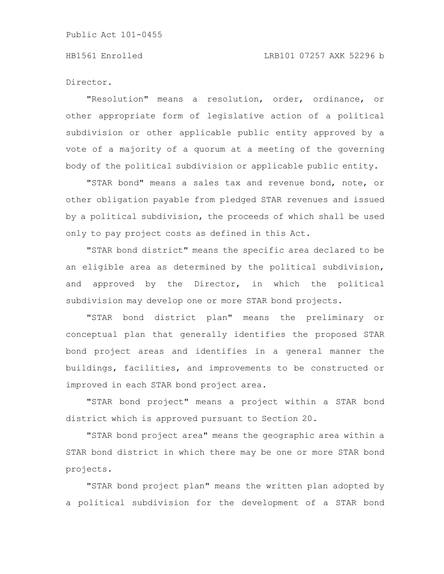Director.

"Resolution" means a resolution, order, ordinance, or other appropriate form of legislative action of a political subdivision or other applicable public entity approved by a vote of a majority of a quorum at a meeting of the governing body of the political subdivision or applicable public entity.

"STAR bond" means a sales tax and revenue bond, note, or other obligation payable from pledged STAR revenues and issued by a political subdivision, the proceeds of which shall be used only to pay project costs as defined in this Act.

"STAR bond district" means the specific area declared to be an eligible area as determined by the political subdivision, and approved by the Director, in which the political subdivision may develop one or more STAR bond projects.

"STAR bond district plan" means the preliminary or conceptual plan that generally identifies the proposed STAR bond project areas and identifies in a general manner the buildings, facilities, and improvements to be constructed or improved in each STAR bond project area.

"STAR bond project" means a project within a STAR bond district which is approved pursuant to Section 20.

"STAR bond project area" means the geographic area within a STAR bond district in which there may be one or more STAR bond projects.

"STAR bond project plan" means the written plan adopted by a political subdivision for the development of a STAR bond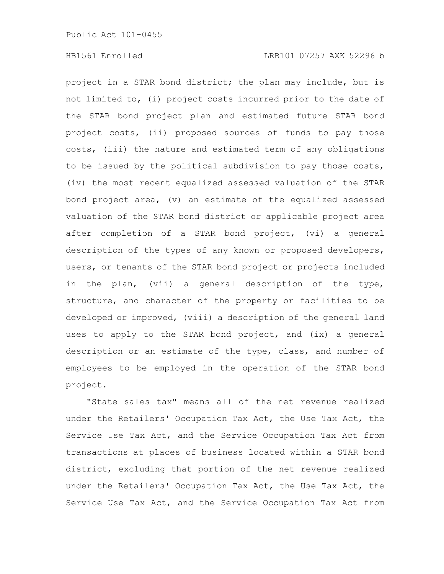project in a STAR bond district; the plan may include, but is not limited to, (i) project costs incurred prior to the date of the STAR bond project plan and estimated future STAR bond project costs, (ii) proposed sources of funds to pay those costs, (iii) the nature and estimated term of any obligations to be issued by the political subdivision to pay those costs, (iv) the most recent equalized assessed valuation of the STAR bond project area, (v) an estimate of the equalized assessed valuation of the STAR bond district or applicable project area after completion of a STAR bond project, (vi) a general description of the types of any known or proposed developers, users, or tenants of the STAR bond project or projects included in the plan, (vii) a general description of the type, structure, and character of the property or facilities to be developed or improved, (viii) a description of the general land uses to apply to the STAR bond project, and (ix) a general description or an estimate of the type, class, and number of employees to be employed in the operation of the STAR bond project.

"State sales tax" means all of the net revenue realized under the Retailers' Occupation Tax Act, the Use Tax Act, the Service Use Tax Act, and the Service Occupation Tax Act from transactions at places of business located within a STAR bond district, excluding that portion of the net revenue realized under the Retailers' Occupation Tax Act, the Use Tax Act, the Service Use Tax Act, and the Service Occupation Tax Act from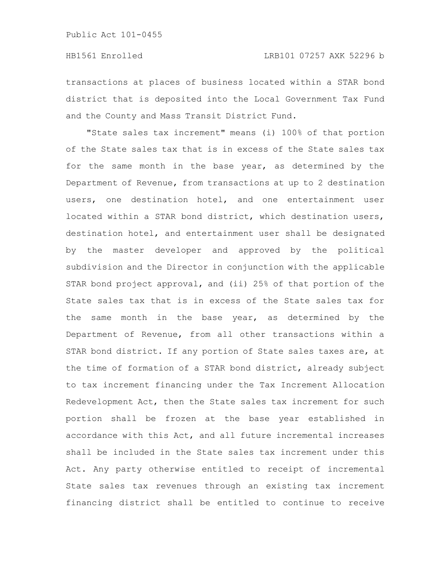transactions at places of business located within a STAR bond district that is deposited into the Local Government Tax Fund and the County and Mass Transit District Fund.

"State sales tax increment" means (i) 100% of that portion of the State sales tax that is in excess of the State sales tax for the same month in the base year, as determined by the Department of Revenue, from transactions at up to 2 destination users, one destination hotel, and one entertainment user located within a STAR bond district, which destination users, destination hotel, and entertainment user shall be designated by the master developer and approved by the political subdivision and the Director in conjunction with the applicable STAR bond project approval, and (ii) 25% of that portion of the State sales tax that is in excess of the State sales tax for the same month in the base year, as determined by the Department of Revenue, from all other transactions within a STAR bond district. If any portion of State sales taxes are, at the time of formation of a STAR bond district, already subject to tax increment financing under the Tax Increment Allocation Redevelopment Act, then the State sales tax increment for such portion shall be frozen at the base year established in accordance with this Act, and all future incremental increases shall be included in the State sales tax increment under this Act. Any party otherwise entitled to receipt of incremental State sales tax revenues through an existing tax increment financing district shall be entitled to continue to receive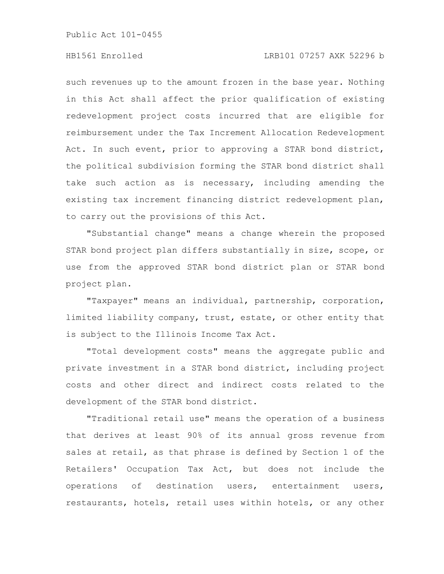### HB1561 Enrolled LRB101 07257 AXK 52296 b

such revenues up to the amount frozen in the base year. Nothing in this Act shall affect the prior qualification of existing redevelopment project costs incurred that are eligible for reimbursement under the Tax Increment Allocation Redevelopment Act. In such event, prior to approving a STAR bond district, the political subdivision forming the STAR bond district shall take such action as is necessary, including amending the existing tax increment financing district redevelopment plan, to carry out the provisions of this Act.

"Substantial change" means a change wherein the proposed STAR bond project plan differs substantially in size, scope, or use from the approved STAR bond district plan or STAR bond project plan.

"Taxpayer" means an individual, partnership, corporation, limited liability company, trust, estate, or other entity that is subject to the Illinois Income Tax Act.

"Total development costs" means the aggregate public and private investment in a STAR bond district, including project costs and other direct and indirect costs related to the development of the STAR bond district.

"Traditional retail use" means the operation of a business that derives at least 90% of its annual gross revenue from sales at retail, as that phrase is defined by Section 1 of the Retailers' Occupation Tax Act, but does not include the operations of destination users, entertainment users, restaurants, hotels, retail uses within hotels, or any other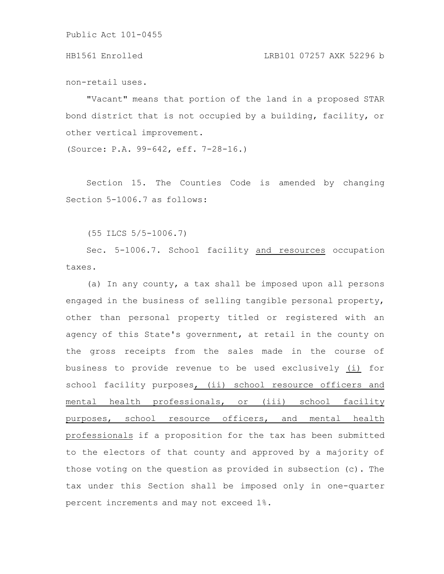HB1561 Enrolled LRB101 07257 AXK 52296 b

non-retail uses.

"Vacant" means that portion of the land in a proposed STAR bond district that is not occupied by a building, facility, or other vertical improvement.

(Source: P.A. 99-642, eff. 7-28-16.)

Section 15. The Counties Code is amended by changing Section 5-1006.7 as follows:

(55 ILCS 5/5-1006.7)

Sec. 5-1006.7. School facility and resources occupation taxes.

(a) In any county, a tax shall be imposed upon all persons engaged in the business of selling tangible personal property, other than personal property titled or registered with an agency of this State's government, at retail in the county on the gross receipts from the sales made in the course of business to provide revenue to be used exclusively (i) for school facility purposes, (ii) school resource officers and mental health professionals, or (iii) school facility purposes, school resource officers, and mental health professionals if a proposition for the tax has been submitted to the electors of that county and approved by a majority of those voting on the question as provided in subsection (c). The tax under this Section shall be imposed only in one-quarter percent increments and may not exceed 1%.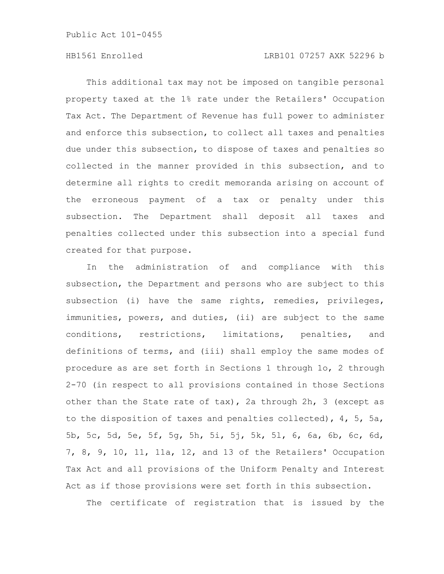# HB1561 Enrolled LRB101 07257 AXK 52296 b

This additional tax may not be imposed on tangible personal property taxed at the 1% rate under the Retailers' Occupation Tax Act. The Department of Revenue has full power to administer and enforce this subsection, to collect all taxes and penalties due under this subsection, to dispose of taxes and penalties so collected in the manner provided in this subsection, and to determine all rights to credit memoranda arising on account of the erroneous payment of a tax or penalty under this subsection. The Department shall deposit all taxes and penalties collected under this subsection into a special fund created for that purpose.

In the administration of and compliance with this subsection, the Department and persons who are subject to this subsection (i) have the same rights, remedies, privileges, immunities, powers, and duties, (ii) are subject to the same conditions, restrictions, limitations, penalties, and definitions of terms, and (iii) shall employ the same modes of procedure as are set forth in Sections 1 through 1o, 2 through 2-70 (in respect to all provisions contained in those Sections other than the State rate of tax), 2a through 2h, 3 (except as to the disposition of taxes and penalties collected), 4, 5, 5a, 5b, 5c, 5d, 5e, 5f, 5g, 5h, 5i, 5j, 5k, 5l, 6, 6a, 6b, 6c, 6d, 7, 8, 9, 10, 11, 11a, 12, and 13 of the Retailers' Occupation Tax Act and all provisions of the Uniform Penalty and Interest Act as if those provisions were set forth in this subsection.

The certificate of registration that is issued by the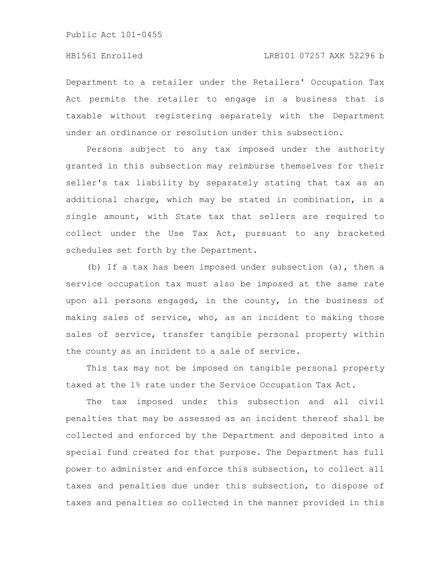Department to a retailer under the Retailers' Occupation Tax Act permits the retailer to engage in a business that is taxable without registering separately with the Department under an ordinance or resolution under this subsection.

Persons subject to any tax imposed under the authority granted in this subsection may reimburse themselves for their seller's tax liability by separately stating that tax as an additional charge, which may be stated in combination, in a single amount, with State tax that sellers are required to collect under the Use Tax Act, pursuant to any bracketed schedules set forth by the Department.

(b) If a tax has been imposed under subsection (a), then a service occupation tax must also be imposed at the same rate upon all persons engaged, in the county, in the business of making sales of service, who, as an incident to making those sales of service, transfer tangible personal property within the county as an incident to a sale of service.

This tax may not be imposed on tangible personal property taxed at the 1% rate under the Service Occupation Tax Act.

The tax imposed under this subsection and all civil penalties that may be assessed as an incident thereof shall be collected and enforced by the Department and deposited into a special fund created for that purpose. The Department has full power to administer and enforce this subsection, to collect all taxes and penalties due under this subsection, to dispose of taxes and penalties so collected in the manner provided in this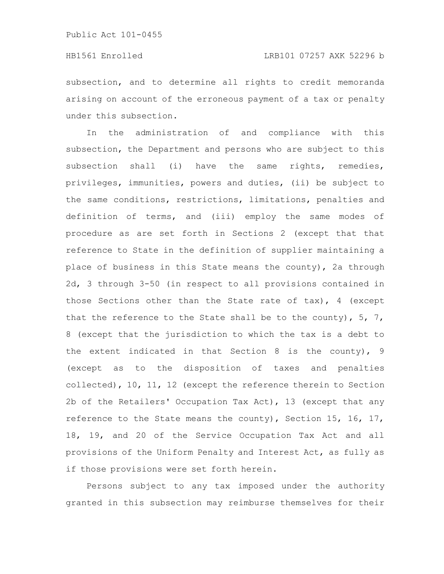subsection, and to determine all rights to credit memoranda arising on account of the erroneous payment of a tax or penalty under this subsection.

In the administration of and compliance with this subsection, the Department and persons who are subject to this subsection shall (i) have the same rights, remedies, privileges, immunities, powers and duties, (ii) be subject to the same conditions, restrictions, limitations, penalties and definition of terms, and (iii) employ the same modes of procedure as are set forth in Sections 2 (except that that reference to State in the definition of supplier maintaining a place of business in this State means the county), 2a through 2d, 3 through 3-50 (in respect to all provisions contained in those Sections other than the State rate of tax), 4 (except that the reference to the State shall be to the county),  $5, 7,$ 8 (except that the jurisdiction to which the tax is a debt to the extent indicated in that Section 8 is the county), 9 (except as to the disposition of taxes and penalties collected), 10, 11, 12 (except the reference therein to Section 2b of the Retailers' Occupation Tax Act), 13 (except that any reference to the State means the county), Section 15, 16, 17, 18, 19, and 20 of the Service Occupation Tax Act and all provisions of the Uniform Penalty and Interest Act, as fully as if those provisions were set forth herein.

Persons subject to any tax imposed under the authority granted in this subsection may reimburse themselves for their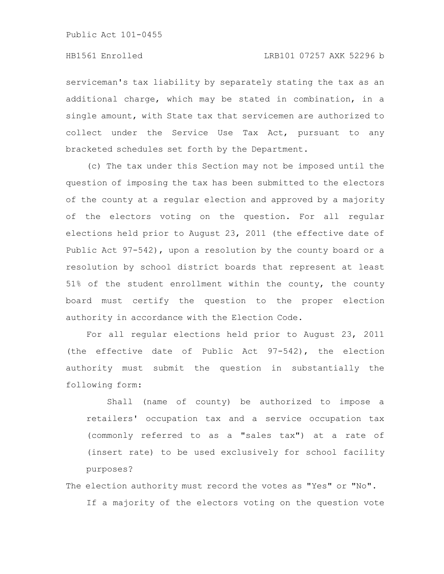serviceman's tax liability by separately stating the tax as an additional charge, which may be stated in combination, in a single amount, with State tax that servicemen are authorized to collect under the Service Use Tax Act, pursuant to any bracketed schedules set forth by the Department.

(c) The tax under this Section may not be imposed until the question of imposing the tax has been submitted to the electors of the county at a regular election and approved by a majority of the electors voting on the question. For all regular elections held prior to August 23, 2011 (the effective date of Public Act 97-542), upon a resolution by the county board or a resolution by school district boards that represent at least 51% of the student enrollment within the county, the county board must certify the question to the proper election authority in accordance with the Election Code.

For all regular elections held prior to August 23, 2011 (the effective date of Public Act 97-542), the election authority must submit the question in substantially the following form:

Shall (name of county) be authorized to impose a retailers' occupation tax and a service occupation tax (commonly referred to as a "sales tax") at a rate of (insert rate) to be used exclusively for school facility purposes?

# The election authority must record the votes as "Yes" or "No". If a majority of the electors voting on the question vote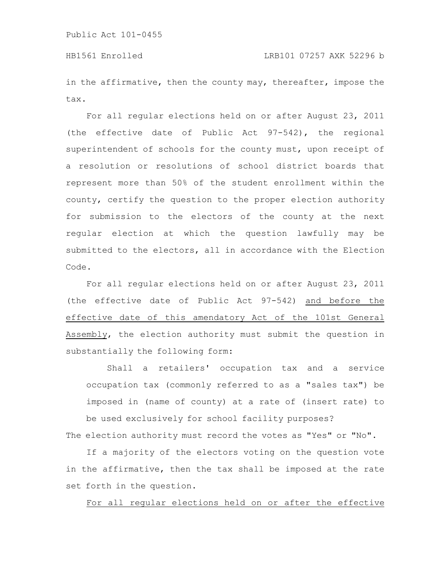in the affirmative, then the county may, thereafter, impose the tax.

For all regular elections held on or after August 23, 2011 (the effective date of Public Act 97-542), the regional superintendent of schools for the county must, upon receipt of a resolution or resolutions of school district boards that represent more than 50% of the student enrollment within the county, certify the question to the proper election authority for submission to the electors of the county at the next regular election at which the question lawfully may be submitted to the electors, all in accordance with the Election Code.

For all regular elections held on or after August 23, 2011 (the effective date of Public Act 97-542) and before the effective date of this amendatory Act of the 101st General Assembly, the election authority must submit the question in substantially the following form:

Shall a retailers' occupation tax and a service occupation tax (commonly referred to as a "sales tax") be imposed in (name of county) at a rate of (insert rate) to be used exclusively for school facility purposes?

The election authority must record the votes as "Yes" or "No".

If a majority of the electors voting on the question vote in the affirmative, then the tax shall be imposed at the rate set forth in the question.

For all regular elections held on or after the effective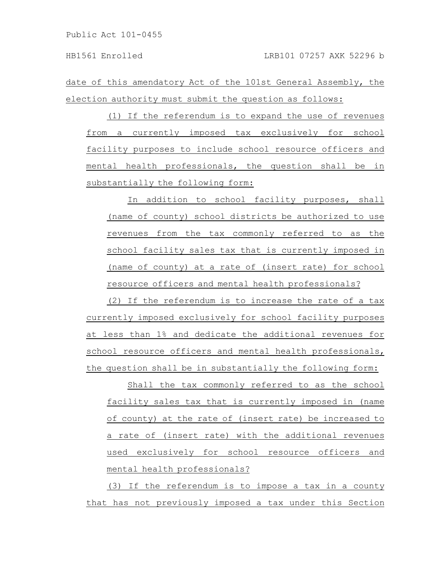date of this amendatory Act of the 101st General Assembly, the election authority must submit the question as follows:

(1) If the referendum is to expand the use of revenues from a currently imposed tax exclusively for school facility purposes to include school resource officers and mental health professionals, the question shall be in substantially the following form:

In addition to school facility purposes, shall (name of county) school districts be authorized to use revenues from the tax commonly referred to as the school facility sales tax that is currently imposed in (name of county) at a rate of (insert rate) for school resource officers and mental health professionals?

(2) If the referendum is to increase the rate of a tax currently imposed exclusively for school facility purposes at less than 1% and dedicate the additional revenues for school resource officers and mental health professionals, the question shall be in substantially the following form:

Shall the tax commonly referred to as the school facility sales tax that is currently imposed in (name of county) at the rate of (insert rate) be increased to a rate of (insert rate) with the additional revenues used exclusively for school resource officers and mental health professionals?

(3) If the referendum is to impose a tax in a county that has not previously imposed a tax under this Section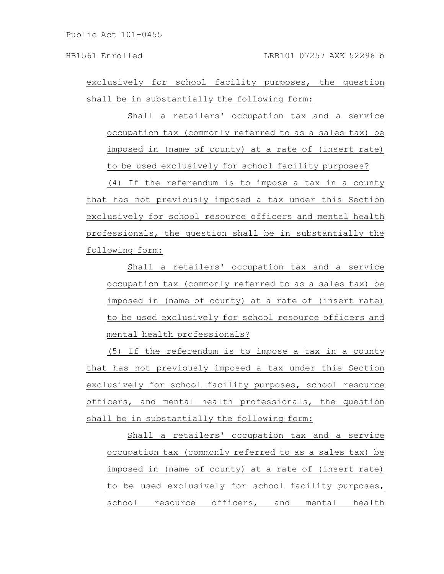exclusively for school facility purposes, the question shall be in substantially the following form:

Shall a retailers' occupation tax and a service occupation tax (commonly referred to as a sales tax) be imposed in (name of county) at a rate of (insert rate) to be used exclusively for school facility purposes?

(4) If the referendum is to impose a tax in a county that has not previously imposed a tax under this Section exclusively for school resource officers and mental health professionals, the question shall be in substantially the following form:

Shall a retailers' occupation tax and a service occupation tax (commonly referred to as a sales tax) be imposed in (name of county) at a rate of (insert rate) to be used exclusively for school resource officers and mental health professionals?

(5) If the referendum is to impose a tax in a county that has not previously imposed a tax under this Section exclusively for school facility purposes, school resource officers, and mental health professionals, the question shall be in substantially the following form:

Shall a retailers' occupation tax and a service occupation tax (commonly referred to as a sales tax) be imposed in (name of county) at a rate of (insert rate) to be used exclusively for school facility purposes, school resource officers, and mental health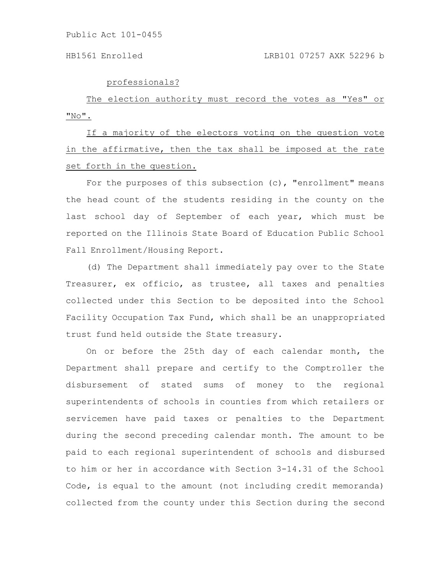professionals?

The election authority must record the votes as "Yes" or  $"$  No $"$  .

If a majority of the electors voting on the question vote in the affirmative, then the tax shall be imposed at the rate set forth in the question.

For the purposes of this subsection (c), "enrollment" means the head count of the students residing in the county on the last school day of September of each year, which must be reported on the Illinois State Board of Education Public School Fall Enrollment/Housing Report.

(d) The Department shall immediately pay over to the State Treasurer, ex officio, as trustee, all taxes and penalties collected under this Section to be deposited into the School Facility Occupation Tax Fund, which shall be an unappropriated trust fund held outside the State treasury.

On or before the 25th day of each calendar month, the Department shall prepare and certify to the Comptroller the disbursement of stated sums of money to the regional superintendents of schools in counties from which retailers or servicemen have paid taxes or penalties to the Department during the second preceding calendar month. The amount to be paid to each regional superintendent of schools and disbursed to him or her in accordance with Section 3-14.31 of the School Code, is equal to the amount (not including credit memoranda) collected from the county under this Section during the second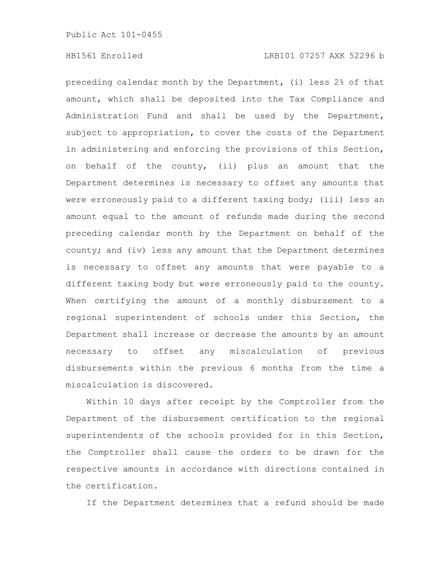preceding calendar month by the Department, (i) less 2% of that amount, which shall be deposited into the Tax Compliance and Administration Fund and shall be used by the Department, subject to appropriation, to cover the costs of the Department in administering and enforcing the provisions of this Section, on behalf of the county, (ii) plus an amount that the Department determines is necessary to offset any amounts that were erroneously paid to a different taxing body; (iii) less an amount equal to the amount of refunds made during the second preceding calendar month by the Department on behalf of the county; and (iv) less any amount that the Department determines is necessary to offset any amounts that were payable to a different taxing body but were erroneously paid to the county. When certifying the amount of a monthly disbursement to a regional superintendent of schools under this Section, the Department shall increase or decrease the amounts by an amount necessary to offset any miscalculation of previous disbursements within the previous 6 months from the time a miscalculation is discovered.

Within 10 days after receipt by the Comptroller from the Department of the disbursement certification to the regional superintendents of the schools provided for in this Section, the Comptroller shall cause the orders to be drawn for the respective amounts in accordance with directions contained in the certification.

If the Department determines that a refund should be made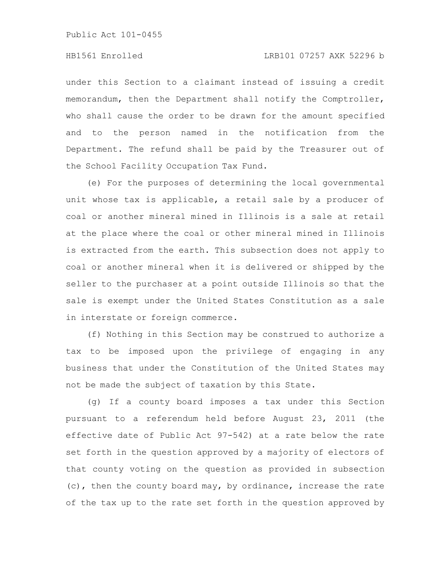under this Section to a claimant instead of issuing a credit memorandum, then the Department shall notify the Comptroller, who shall cause the order to be drawn for the amount specified and to the person named in the notification from the Department. The refund shall be paid by the Treasurer out of the School Facility Occupation Tax Fund.

(e) For the purposes of determining the local governmental unit whose tax is applicable, a retail sale by a producer of coal or another mineral mined in Illinois is a sale at retail at the place where the coal or other mineral mined in Illinois is extracted from the earth. This subsection does not apply to coal or another mineral when it is delivered or shipped by the seller to the purchaser at a point outside Illinois so that the sale is exempt under the United States Constitution as a sale in interstate or foreign commerce.

(f) Nothing in this Section may be construed to authorize a tax to be imposed upon the privilege of engaging in any business that under the Constitution of the United States may not be made the subject of taxation by this State.

(g) If a county board imposes a tax under this Section pursuant to a referendum held before August 23, 2011 (the effective date of Public Act 97-542) at a rate below the rate set forth in the question approved by a majority of electors of that county voting on the question as provided in subsection (c), then the county board may, by ordinance, increase the rate of the tax up to the rate set forth in the question approved by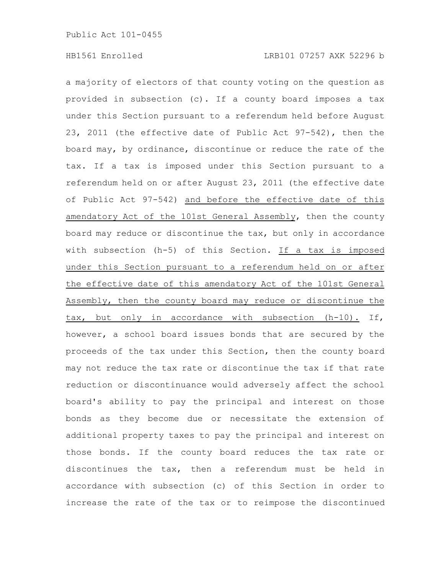a majority of electors of that county voting on the question as provided in subsection (c). If a county board imposes a tax under this Section pursuant to a referendum held before August 23, 2011 (the effective date of Public Act 97-542), then the board may, by ordinance, discontinue or reduce the rate of the tax. If a tax is imposed under this Section pursuant to a referendum held on or after August 23, 2011 (the effective date of Public Act 97-542) and before the effective date of this amendatory Act of the 101st General Assembly, then the county board may reduce or discontinue the tax, but only in accordance with subsection (h-5) of this Section. If a tax is imposed under this Section pursuant to a referendum held on or after the effective date of this amendatory Act of the 101st General Assembly, then the county board may reduce or discontinue the tax, but only in accordance with subsection (h-10). If, however, a school board issues bonds that are secured by the proceeds of the tax under this Section, then the county board may not reduce the tax rate or discontinue the tax if that rate reduction or discontinuance would adversely affect the school board's ability to pay the principal and interest on those bonds as they become due or necessitate the extension of additional property taxes to pay the principal and interest on those bonds. If the county board reduces the tax rate or discontinues the tax, then a referendum must be held in accordance with subsection (c) of this Section in order to increase the rate of the tax or to reimpose the discontinued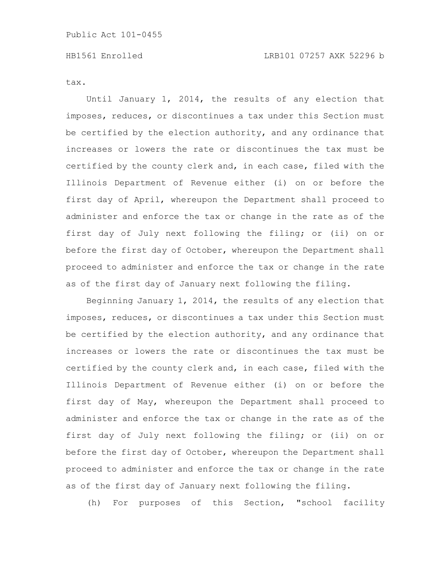tax.

Until January 1, 2014, the results of any election that imposes, reduces, or discontinues a tax under this Section must be certified by the election authority, and any ordinance that increases or lowers the rate or discontinues the tax must be certified by the county clerk and, in each case, filed with the Illinois Department of Revenue either (i) on or before the first day of April, whereupon the Department shall proceed to administer and enforce the tax or change in the rate as of the first day of July next following the filing; or (ii) on or before the first day of October, whereupon the Department shall proceed to administer and enforce the tax or change in the rate as of the first day of January next following the filing.

Beginning January 1, 2014, the results of any election that imposes, reduces, or discontinues a tax under this Section must be certified by the election authority, and any ordinance that increases or lowers the rate or discontinues the tax must be certified by the county clerk and, in each case, filed with the Illinois Department of Revenue either (i) on or before the first day of May, whereupon the Department shall proceed to administer and enforce the tax or change in the rate as of the first day of July next following the filing; or (ii) on or before the first day of October, whereupon the Department shall proceed to administer and enforce the tax or change in the rate as of the first day of January next following the filing.

(h) For purposes of this Section, "school facility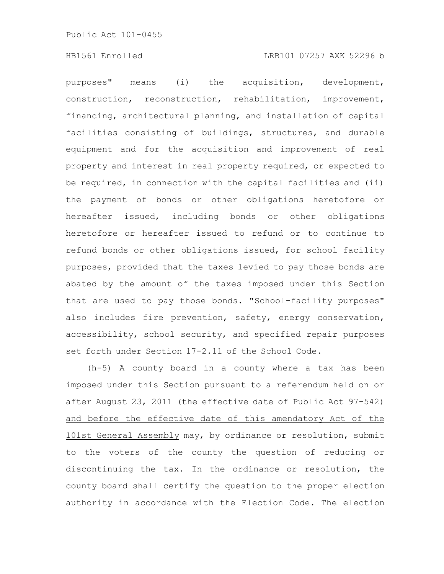purposes" means (i) the acquisition, development, construction, reconstruction, rehabilitation, improvement, financing, architectural planning, and installation of capital facilities consisting of buildings, structures, and durable equipment and for the acquisition and improvement of real property and interest in real property required, or expected to be required, in connection with the capital facilities and (ii) the payment of bonds or other obligations heretofore or hereafter issued, including bonds or other obligations heretofore or hereafter issued to refund or to continue to refund bonds or other obligations issued, for school facility purposes, provided that the taxes levied to pay those bonds are abated by the amount of the taxes imposed under this Section that are used to pay those bonds. "School-facility purposes" also includes fire prevention, safety, energy conservation, accessibility, school security, and specified repair purposes set forth under Section 17-2.11 of the School Code.

(h-5) A county board in a county where a tax has been imposed under this Section pursuant to a referendum held on or after August 23, 2011 (the effective date of Public Act 97-542) and before the effective date of this amendatory Act of the 101st General Assembly may, by ordinance or resolution, submit to the voters of the county the question of reducing or discontinuing the tax. In the ordinance or resolution, the county board shall certify the question to the proper election authority in accordance with the Election Code. The election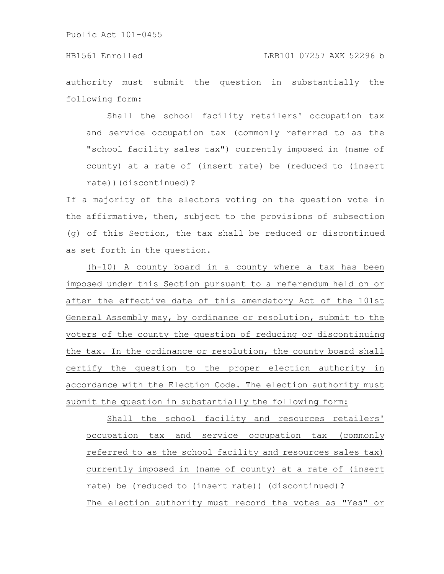authority must submit the question in substantially the following form:

Shall the school facility retailers' occupation tax and service occupation tax (commonly referred to as the "school facility sales tax") currently imposed in (name of county) at a rate of (insert rate) be (reduced to (insert rate))(discontinued)?

If a majority of the electors voting on the question vote in the affirmative, then, subject to the provisions of subsection (g) of this Section, the tax shall be reduced or discontinued as set forth in the question.

(h-10) A county board in a county where a tax has been imposed under this Section pursuant to a referendum held on or after the effective date of this amendatory Act of the 101st General Assembly may, by ordinance or resolution, submit to the voters of the county the question of reducing or discontinuing the tax. In the ordinance or resolution, the county board shall certify the question to the proper election authority in accordance with the Election Code. The election authority must submit the question in substantially the following form:

Shall the school facility and resources retailers' occupation tax and service occupation tax (commonly referred to as the school facility and resources sales tax) currently imposed in (name of county) at a rate of (insert rate) be (reduced to (insert rate)) (discontinued)? The election authority must record the votes as "Yes" or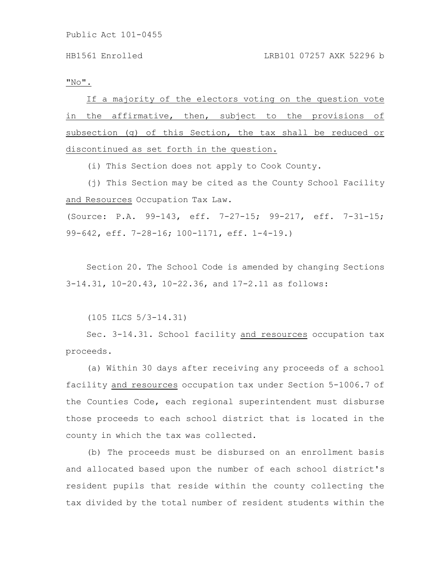$"$  No $"$  .

If a majority of the electors voting on the question vote in the affirmative, then, subject to the provisions of subsection (g) of this Section, the tax shall be reduced or discontinued as set forth in the question.

(i) This Section does not apply to Cook County.

(j) This Section may be cited as the County School Facility and Resources Occupation Tax Law.

(Source: P.A. 99-143, eff. 7-27-15; 99-217, eff. 7-31-15; 99-642, eff. 7-28-16; 100-1171, eff. 1-4-19.)

Section 20. The School Code is amended by changing Sections 3-14.31, 10-20.43, 10-22.36, and 17-2.11 as follows:

(105 ILCS 5/3-14.31)

Sec. 3-14.31. School facility and resources occupation tax proceeds.

(a) Within 30 days after receiving any proceeds of a school facility and resources occupation tax under Section 5-1006.7 of the Counties Code, each regional superintendent must disburse those proceeds to each school district that is located in the county in which the tax was collected.

(b) The proceeds must be disbursed on an enrollment basis and allocated based upon the number of each school district's resident pupils that reside within the county collecting the tax divided by the total number of resident students within the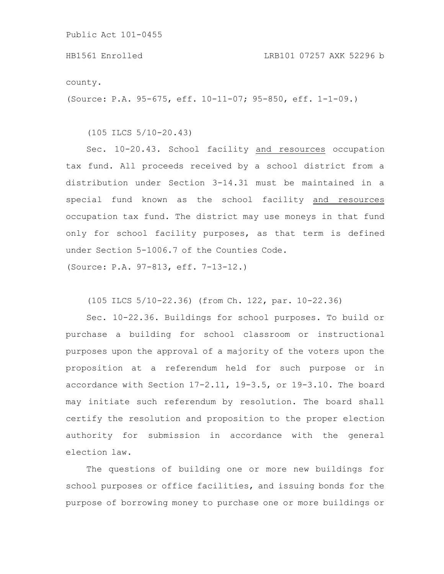county.

(Source: P.A. 95-675, eff. 10-11-07; 95-850, eff. 1-1-09.)

(105 ILCS 5/10-20.43)

Sec. 10-20.43. School facility and resources occupation tax fund. All proceeds received by a school district from a distribution under Section 3-14.31 must be maintained in a special fund known as the school facility and resources occupation tax fund. The district may use moneys in that fund only for school facility purposes, as that term is defined under Section 5-1006.7 of the Counties Code.

(Source: P.A. 97-813, eff. 7-13-12.)

(105 ILCS 5/10-22.36) (from Ch. 122, par. 10-22.36)

Sec. 10-22.36. Buildings for school purposes. To build or purchase a building for school classroom or instructional purposes upon the approval of a majority of the voters upon the proposition at a referendum held for such purpose or in accordance with Section 17-2.11, 19-3.5, or 19-3.10. The board may initiate such referendum by resolution. The board shall certify the resolution and proposition to the proper election authority for submission in accordance with the general election law.

The questions of building one or more new buildings for school purposes or office facilities, and issuing bonds for the purpose of borrowing money to purchase one or more buildings or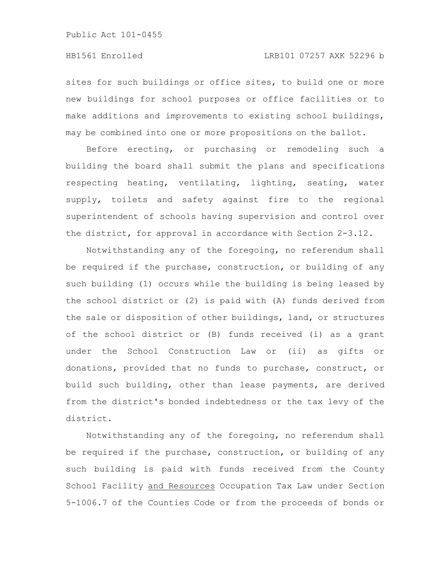sites for such buildings or office sites, to build one or more new buildings for school purposes or office facilities or to make additions and improvements to existing school buildings, may be combined into one or more propositions on the ballot.

Before erecting, or purchasing or remodeling such a building the board shall submit the plans and specifications respecting heating, ventilating, lighting, seating, water supply, toilets and safety against fire to the regional superintendent of schools having supervision and control over the district, for approval in accordance with Section 2-3.12.

Notwithstanding any of the foregoing, no referendum shall be required if the purchase, construction, or building of any such building (1) occurs while the building is being leased by the school district or (2) is paid with (A) funds derived from the sale or disposition of other buildings, land, or structures of the school district or (B) funds received (i) as a grant under the School Construction Law or (ii) as gifts or donations, provided that no funds to purchase, construct, or build such building, other than lease payments, are derived from the district's bonded indebtedness or the tax levy of the district.

Notwithstanding any of the foregoing, no referendum shall be required if the purchase, construction, or building of any such building is paid with funds received from the County School Facility and Resources Occupation Tax Law under Section 5-1006.7 of the Counties Code or from the proceeds of bonds or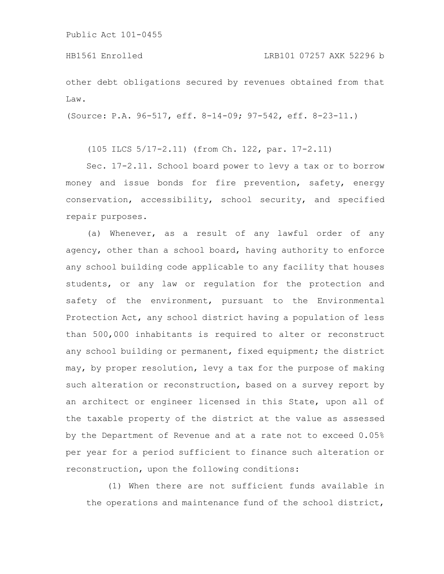other debt obligations secured by revenues obtained from that Law.

(Source: P.A. 96-517, eff. 8-14-09; 97-542, eff. 8-23-11.)

(105 ILCS 5/17-2.11) (from Ch. 122, par. 17-2.11)

Sec. 17-2.11. School board power to levy a tax or to borrow money and issue bonds for fire prevention, safety, energy conservation, accessibility, school security, and specified repair purposes.

(a) Whenever, as a result of any lawful order of any agency, other than a school board, having authority to enforce any school building code applicable to any facility that houses students, or any law or regulation for the protection and safety of the environment, pursuant to the Environmental Protection Act, any school district having a population of less than 500,000 inhabitants is required to alter or reconstruct any school building or permanent, fixed equipment; the district may, by proper resolution, levy a tax for the purpose of making such alteration or reconstruction, based on a survey report by an architect or engineer licensed in this State, upon all of the taxable property of the district at the value as assessed by the Department of Revenue and at a rate not to exceed 0.05% per year for a period sufficient to finance such alteration or reconstruction, upon the following conditions:

(1) When there are not sufficient funds available in the operations and maintenance fund of the school district,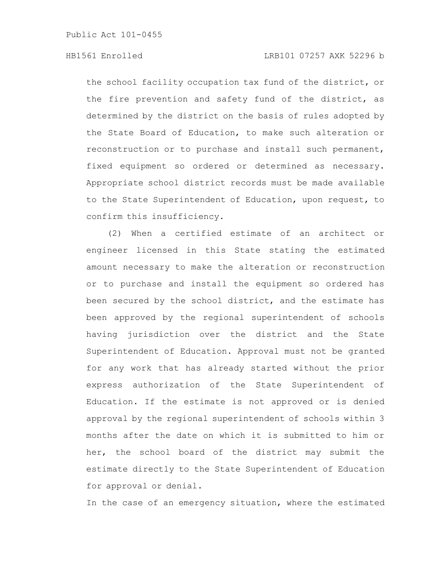the school facility occupation tax fund of the district, or the fire prevention and safety fund of the district, as determined by the district on the basis of rules adopted by the State Board of Education, to make such alteration or reconstruction or to purchase and install such permanent, fixed equipment so ordered or determined as necessary. Appropriate school district records must be made available to the State Superintendent of Education, upon request, to confirm this insufficiency.

(2) When a certified estimate of an architect or engineer licensed in this State stating the estimated amount necessary to make the alteration or reconstruction or to purchase and install the equipment so ordered has been secured by the school district, and the estimate has been approved by the regional superintendent of schools having jurisdiction over the district and the State Superintendent of Education. Approval must not be granted for any work that has already started without the prior express authorization of the State Superintendent of Education. If the estimate is not approved or is denied approval by the regional superintendent of schools within 3 months after the date on which it is submitted to him or her, the school board of the district may submit the estimate directly to the State Superintendent of Education for approval or denial.

In the case of an emergency situation, where the estimated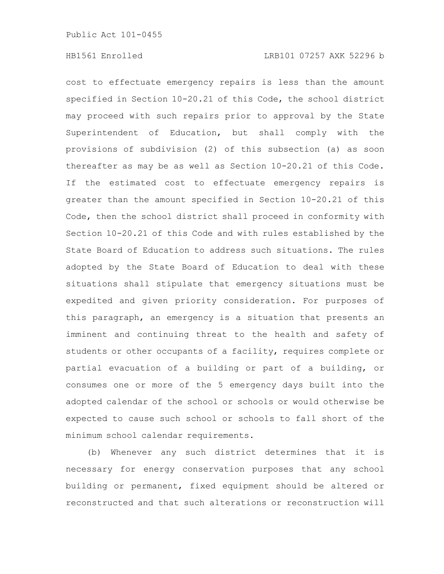cost to effectuate emergency repairs is less than the amount specified in Section 10-20.21 of this Code, the school district may proceed with such repairs prior to approval by the State Superintendent of Education, but shall comply with the provisions of subdivision (2) of this subsection (a) as soon thereafter as may be as well as Section 10-20.21 of this Code. If the estimated cost to effectuate emergency repairs is greater than the amount specified in Section 10-20.21 of this Code, then the school district shall proceed in conformity with Section 10-20.21 of this Code and with rules established by the State Board of Education to address such situations. The rules adopted by the State Board of Education to deal with these situations shall stipulate that emergency situations must be expedited and given priority consideration. For purposes of this paragraph, an emergency is a situation that presents an imminent and continuing threat to the health and safety of students or other occupants of a facility, requires complete or partial evacuation of a building or part of a building, or consumes one or more of the 5 emergency days built into the adopted calendar of the school or schools or would otherwise be expected to cause such school or schools to fall short of the minimum school calendar requirements.

(b) Whenever any such district determines that it is necessary for energy conservation purposes that any school building or permanent, fixed equipment should be altered or reconstructed and that such alterations or reconstruction will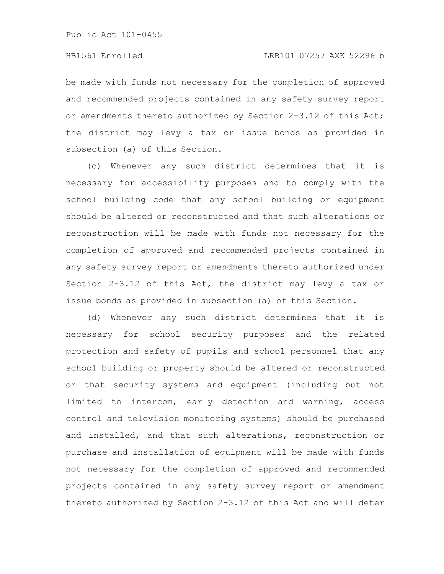be made with funds not necessary for the completion of approved and recommended projects contained in any safety survey report or amendments thereto authorized by Section 2-3.12 of this Act; the district may levy a tax or issue bonds as provided in subsection (a) of this Section.

(c) Whenever any such district determines that it is necessary for accessibility purposes and to comply with the school building code that any school building or equipment should be altered or reconstructed and that such alterations or reconstruction will be made with funds not necessary for the completion of approved and recommended projects contained in any safety survey report or amendments thereto authorized under Section 2-3.12 of this Act, the district may levy a tax or issue bonds as provided in subsection (a) of this Section.

(d) Whenever any such district determines that it is necessary for school security purposes and the related protection and safety of pupils and school personnel that any school building or property should be altered or reconstructed or that security systems and equipment (including but not limited to intercom, early detection and warning, access control and television monitoring systems) should be purchased and installed, and that such alterations, reconstruction or purchase and installation of equipment will be made with funds not necessary for the completion of approved and recommended projects contained in any safety survey report or amendment thereto authorized by Section 2-3.12 of this Act and will deter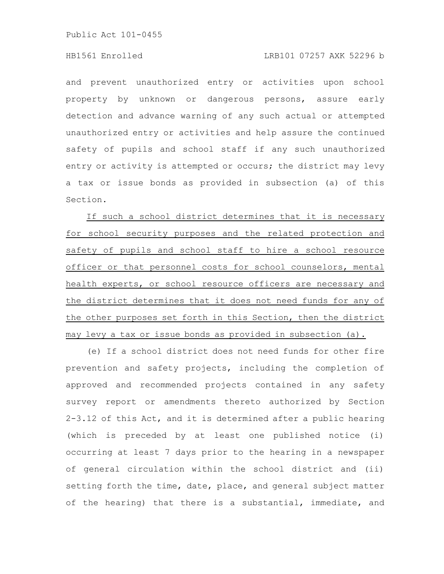# HB1561 Enrolled LRB101 07257 AXK 52296 b

and prevent unauthorized entry or activities upon school property by unknown or dangerous persons, assure early detection and advance warning of any such actual or attempted unauthorized entry or activities and help assure the continued safety of pupils and school staff if any such unauthorized entry or activity is attempted or occurs; the district may levy a tax or issue bonds as provided in subsection (a) of this Section.

If such a school district determines that it is necessary for school security purposes and the related protection and safety of pupils and school staff to hire a school resource officer or that personnel costs for school counselors, mental health experts, or school resource officers are necessary and the district determines that it does not need funds for any of the other purposes set forth in this Section, then the district may levy a tax or issue bonds as provided in subsection (a).

(e) If a school district does not need funds for other fire prevention and safety projects, including the completion of approved and recommended projects contained in any safety survey report or amendments thereto authorized by Section 2-3.12 of this Act, and it is determined after a public hearing (which is preceded by at least one published notice (i) occurring at least 7 days prior to the hearing in a newspaper of general circulation within the school district and (ii) setting forth the time, date, place, and general subject matter of the hearing) that there is a substantial, immediate, and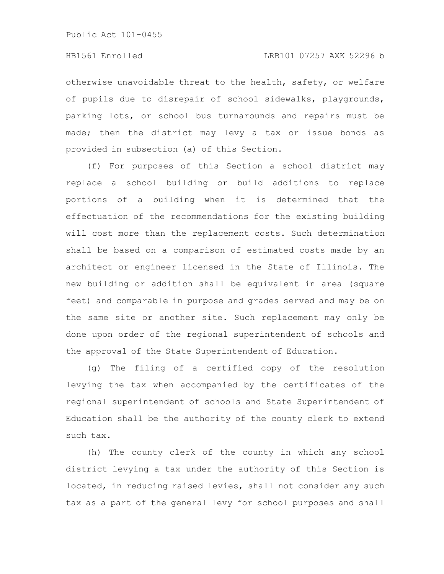otherwise unavoidable threat to the health, safety, or welfare of pupils due to disrepair of school sidewalks, playgrounds, parking lots, or school bus turnarounds and repairs must be made; then the district may levy a tax or issue bonds as provided in subsection (a) of this Section.

(f) For purposes of this Section a school district may replace a school building or build additions to replace portions of a building when it is determined that the effectuation of the recommendations for the existing building will cost more than the replacement costs. Such determination shall be based on a comparison of estimated costs made by an architect or engineer licensed in the State of Illinois. The new building or addition shall be equivalent in area (square feet) and comparable in purpose and grades served and may be on the same site or another site. Such replacement may only be done upon order of the regional superintendent of schools and the approval of the State Superintendent of Education.

(g) The filing of a certified copy of the resolution levying the tax when accompanied by the certificates of the regional superintendent of schools and State Superintendent of Education shall be the authority of the county clerk to extend such tax.

(h) The county clerk of the county in which any school district levying a tax under the authority of this Section is located, in reducing raised levies, shall not consider any such tax as a part of the general levy for school purposes and shall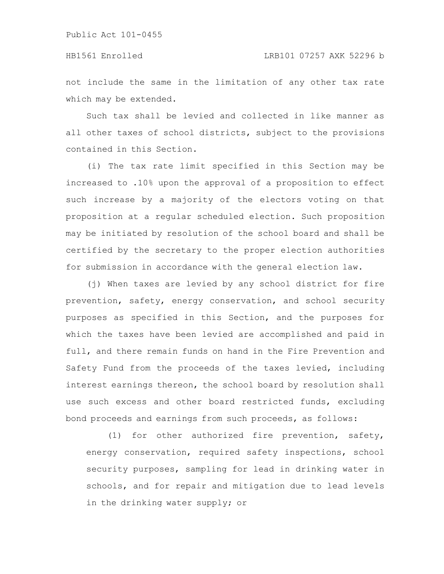not include the same in the limitation of any other tax rate which may be extended.

Such tax shall be levied and collected in like manner as all other taxes of school districts, subject to the provisions contained in this Section.

(i) The tax rate limit specified in this Section may be increased to .10% upon the approval of a proposition to effect such increase by a majority of the electors voting on that proposition at a regular scheduled election. Such proposition may be initiated by resolution of the school board and shall be certified by the secretary to the proper election authorities for submission in accordance with the general election law.

(j) When taxes are levied by any school district for fire prevention, safety, energy conservation, and school security purposes as specified in this Section, and the purposes for which the taxes have been levied are accomplished and paid in full, and there remain funds on hand in the Fire Prevention and Safety Fund from the proceeds of the taxes levied, including interest earnings thereon, the school board by resolution shall use such excess and other board restricted funds, excluding bond proceeds and earnings from such proceeds, as follows:

(1) for other authorized fire prevention, safety, energy conservation, required safety inspections, school security purposes, sampling for lead in drinking water in schools, and for repair and mitigation due to lead levels in the drinking water supply; or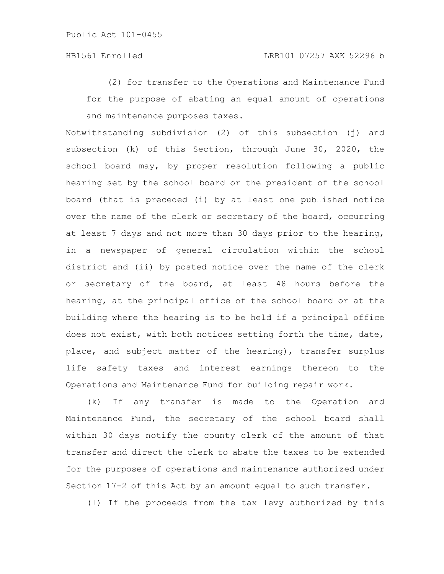(2) for transfer to the Operations and Maintenance Fund for the purpose of abating an equal amount of operations and maintenance purposes taxes.

Notwithstanding subdivision (2) of this subsection (j) and subsection (k) of this Section, through June 30, 2020, the school board may, by proper resolution following a public hearing set by the school board or the president of the school board (that is preceded (i) by at least one published notice over the name of the clerk or secretary of the board, occurring at least 7 days and not more than 30 days prior to the hearing, in a newspaper of general circulation within the school district and (ii) by posted notice over the name of the clerk or secretary of the board, at least 48 hours before the hearing, at the principal office of the school board or at the building where the hearing is to be held if a principal office does not exist, with both notices setting forth the time, date, place, and subject matter of the hearing), transfer surplus life safety taxes and interest earnings thereon to the Operations and Maintenance Fund for building repair work.

(k) If any transfer is made to the Operation and Maintenance Fund, the secretary of the school board shall within 30 days notify the county clerk of the amount of that transfer and direct the clerk to abate the taxes to be extended for the purposes of operations and maintenance authorized under Section 17-2 of this Act by an amount equal to such transfer.

(l) If the proceeds from the tax levy authorized by this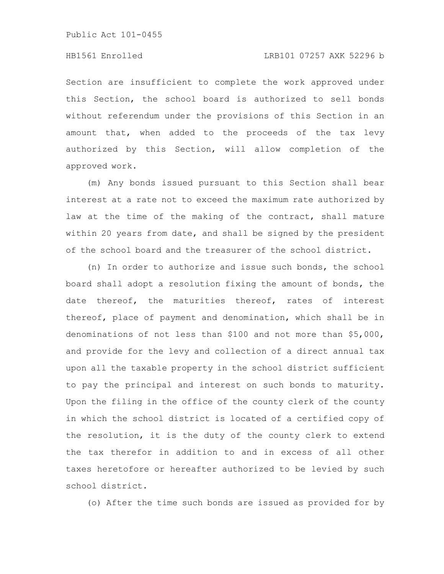# HB1561 Enrolled LRB101 07257 AXK 52296 b

Section are insufficient to complete the work approved under this Section, the school board is authorized to sell bonds without referendum under the provisions of this Section in an amount that, when added to the proceeds of the tax levy authorized by this Section, will allow completion of the approved work.

(m) Any bonds issued pursuant to this Section shall bear interest at a rate not to exceed the maximum rate authorized by law at the time of the making of the contract, shall mature within 20 years from date, and shall be signed by the president of the school board and the treasurer of the school district.

(n) In order to authorize and issue such bonds, the school board shall adopt a resolution fixing the amount of bonds, the date thereof, the maturities thereof, rates of interest thereof, place of payment and denomination, which shall be in denominations of not less than \$100 and not more than \$5,000, and provide for the levy and collection of a direct annual tax upon all the taxable property in the school district sufficient to pay the principal and interest on such bonds to maturity. Upon the filing in the office of the county clerk of the county in which the school district is located of a certified copy of the resolution, it is the duty of the county clerk to extend the tax therefor in addition to and in excess of all other taxes heretofore or hereafter authorized to be levied by such school district.

(o) After the time such bonds are issued as provided for by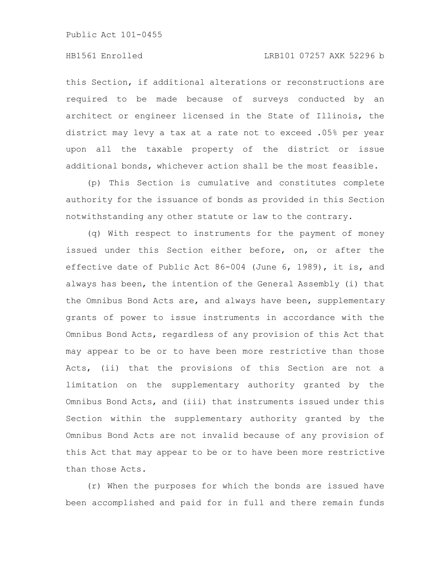# HB1561 Enrolled LRB101 07257 AXK 52296 b

this Section, if additional alterations or reconstructions are required to be made because of surveys conducted by an architect or engineer licensed in the State of Illinois, the district may levy a tax at a rate not to exceed .05% per year upon all the taxable property of the district or issue additional bonds, whichever action shall be the most feasible.

(p) This Section is cumulative and constitutes complete authority for the issuance of bonds as provided in this Section notwithstanding any other statute or law to the contrary.

(q) With respect to instruments for the payment of money issued under this Section either before, on, or after the effective date of Public Act 86-004 (June 6, 1989), it is, and always has been, the intention of the General Assembly (i) that the Omnibus Bond Acts are, and always have been, supplementary grants of power to issue instruments in accordance with the Omnibus Bond Acts, regardless of any provision of this Act that may appear to be or to have been more restrictive than those Acts, (ii) that the provisions of this Section are not a limitation on the supplementary authority granted by the Omnibus Bond Acts, and (iii) that instruments issued under this Section within the supplementary authority granted by the Omnibus Bond Acts are not invalid because of any provision of this Act that may appear to be or to have been more restrictive than those Acts.

(r) When the purposes for which the bonds are issued have been accomplished and paid for in full and there remain funds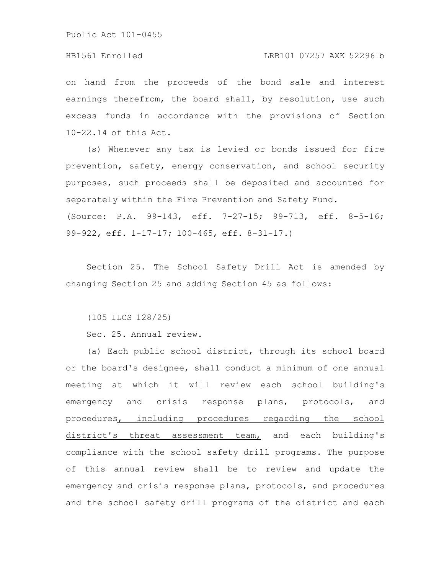#### HB1561 Enrolled LRB101 07257 AXK 52296 b

on hand from the proceeds of the bond sale and interest earnings therefrom, the board shall, by resolution, use such excess funds in accordance with the provisions of Section 10-22.14 of this Act.

(s) Whenever any tax is levied or bonds issued for fire prevention, safety, energy conservation, and school security purposes, such proceeds shall be deposited and accounted for separately within the Fire Prevention and Safety Fund. (Source: P.A. 99-143, eff. 7-27-15; 99-713, eff. 8-5-16; 99-922, eff. 1-17-17; 100-465, eff. 8-31-17.)

Section 25. The School Safety Drill Act is amended by changing Section 25 and adding Section 45 as follows:

(105 ILCS 128/25)

Sec. 25. Annual review.

(a) Each public school district, through its school board or the board's designee, shall conduct a minimum of one annual meeting at which it will review each school building's emergency and crisis response plans, protocols, and procedures, including procedures regarding the school district's threat assessment team, and each building's compliance with the school safety drill programs. The purpose of this annual review shall be to review and update the emergency and crisis response plans, protocols, and procedures and the school safety drill programs of the district and each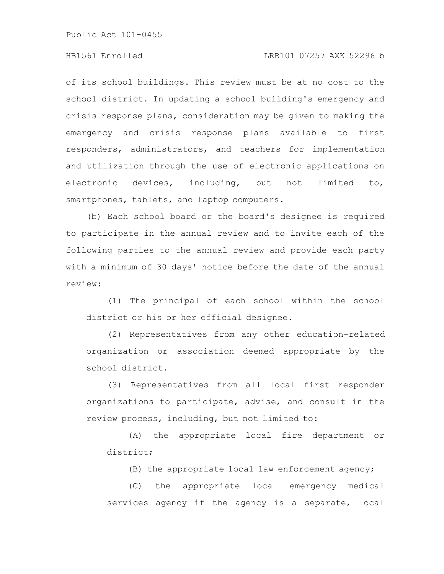# HB1561 Enrolled LRB101 07257 AXK 52296 b

of its school buildings. This review must be at no cost to the school district. In updating a school building's emergency and crisis response plans, consideration may be given to making the emergency and crisis response plans available to first responders, administrators, and teachers for implementation and utilization through the use of electronic applications on electronic devices, including, but not limited to, smartphones, tablets, and laptop computers.

(b) Each school board or the board's designee is required to participate in the annual review and to invite each of the following parties to the annual review and provide each party with a minimum of 30 days' notice before the date of the annual review:

(1) The principal of each school within the school district or his or her official designee.

(2) Representatives from any other education-related organization or association deemed appropriate by the school district.

(3) Representatives from all local first responder organizations to participate, advise, and consult in the review process, including, but not limited to:

(A) the appropriate local fire department or district;

(B) the appropriate local law enforcement agency;

(C) the appropriate local emergency medical services agency if the agency is a separate, local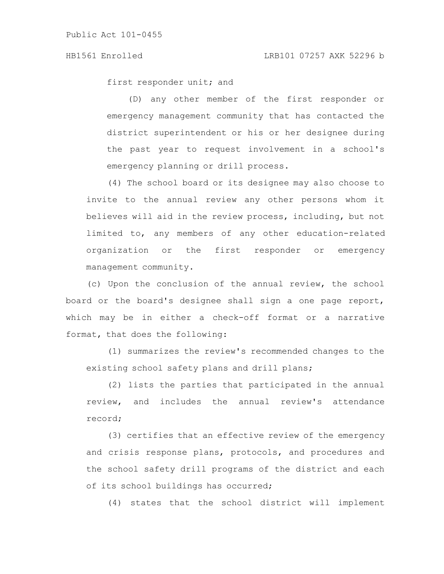first responder unit; and

(D) any other member of the first responder or emergency management community that has contacted the district superintendent or his or her designee during the past year to request involvement in a school's emergency planning or drill process.

(4) The school board or its designee may also choose to invite to the annual review any other persons whom it believes will aid in the review process, including, but not limited to, any members of any other education-related organization or the first responder or emergency management community.

(c) Upon the conclusion of the annual review, the school board or the board's designee shall sign a one page report, which may be in either a check-off format or a narrative format, that does the following:

(1) summarizes the review's recommended changes to the existing school safety plans and drill plans;

(2) lists the parties that participated in the annual review, and includes the annual review's attendance record;

(3) certifies that an effective review of the emergency and crisis response plans, protocols, and procedures and the school safety drill programs of the district and each of its school buildings has occurred;

(4) states that the school district will implement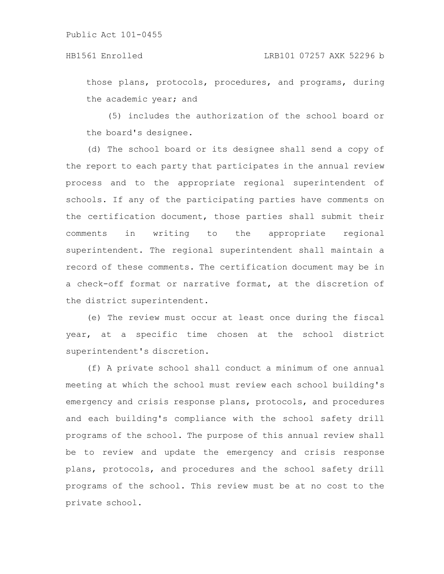those plans, protocols, procedures, and programs, during the academic year; and

(5) includes the authorization of the school board or the board's designee.

(d) The school board or its designee shall send a copy of the report to each party that participates in the annual review process and to the appropriate regional superintendent of schools. If any of the participating parties have comments on the certification document, those parties shall submit their comments in writing to the appropriate regional superintendent. The regional superintendent shall maintain a record of these comments. The certification document may be in a check-off format or narrative format, at the discretion of the district superintendent.

(e) The review must occur at least once during the fiscal year, at a specific time chosen at the school district superintendent's discretion.

(f) A private school shall conduct a minimum of one annual meeting at which the school must review each school building's emergency and crisis response plans, protocols, and procedures and each building's compliance with the school safety drill programs of the school. The purpose of this annual review shall be to review and update the emergency and crisis response plans, protocols, and procedures and the school safety drill programs of the school. This review must be at no cost to the private school.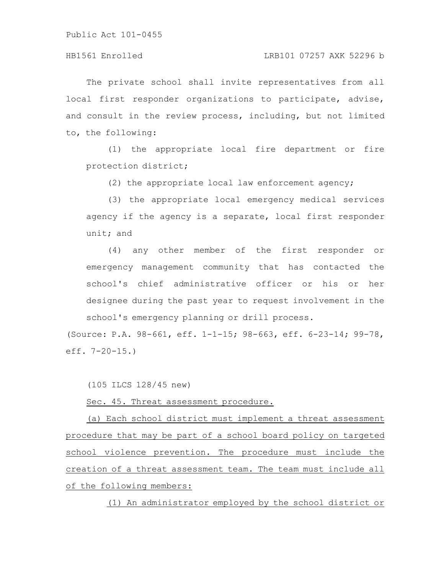# HB1561 Enrolled LRB101 07257 AXK 52296 b

The private school shall invite representatives from all local first responder organizations to participate, advise, and consult in the review process, including, but not limited to, the following:

(1) the appropriate local fire department or fire protection district;

(2) the appropriate local law enforcement agency;

(3) the appropriate local emergency medical services agency if the agency is a separate, local first responder unit; and

(4) any other member of the first responder or emergency management community that has contacted the school's chief administrative officer or his or her designee during the past year to request involvement in the school's emergency planning or drill process.

(Source: P.A. 98-661, eff. 1-1-15; 98-663, eff. 6-23-14; 99-78, eff. 7-20-15.)

(105 ILCS 128/45 new)

Sec. 45. Threat assessment procedure.

(a) Each school district must implement a threat assessment procedure that may be part of a school board policy on targeted school violence prevention. The procedure must include the creation of a threat assessment team. The team must include all of the following members:

(1) An administrator employed by the school district or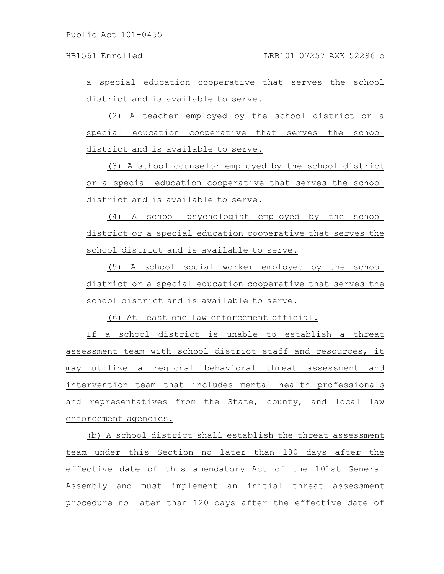a special education cooperative that serves the school district and is available to serve.

(2) A teacher employed by the school district or a special education cooperative that serves the school district and is available to serve.

(3) A school counselor employed by the school district or a special education cooperative that serves the school district and is available to serve.

(4) A school psychologist employed by the school district or a special education cooperative that serves the school district and is available to serve.

(5) A school social worker employed by the school district or a special education cooperative that serves the school district and is available to serve.

(6) At least one law enforcement official.

If a school district is unable to establish a threat assessment team with school district staff and resources, it may utilize a regional behavioral threat assessment and intervention team that includes mental health professionals and representatives from the State, county, and local law enforcement agencies.

(b) A school district shall establish the threat assessment team under this Section no later than 180 days after the effective date of this amendatory Act of the 101st General Assembly and must implement an initial threat assessment procedure no later than 120 days after the effective date of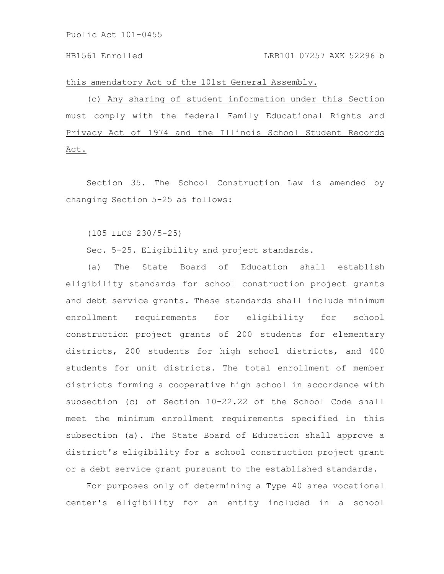this amendatory Act of the 101st General Assembly.

(c) Any sharing of student information under this Section must comply with the federal Family Educational Rights and Privacy Act of 1974 and the Illinois School Student Records Act.

Section 35. The School Construction Law is amended by changing Section 5-25 as follows:

(105 ILCS 230/5-25)

Sec. 5-25. Eligibility and project standards.

(a) The State Board of Education shall establish eligibility standards for school construction project grants and debt service grants. These standards shall include minimum enrollment requirements for eligibility for school construction project grants of 200 students for elementary districts, 200 students for high school districts, and 400 students for unit districts. The total enrollment of member districts forming a cooperative high school in accordance with subsection (c) of Section 10-22.22 of the School Code shall meet the minimum enrollment requirements specified in this subsection (a). The State Board of Education shall approve a district's eligibility for a school construction project grant or a debt service grant pursuant to the established standards.

For purposes only of determining a Type 40 area vocational center's eligibility for an entity included in a school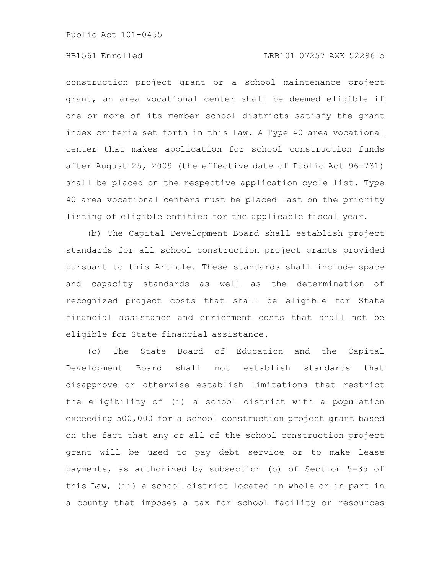# HB1561 Enrolled LRB101 07257 AXK 52296 b

construction project grant or a school maintenance project grant, an area vocational center shall be deemed eligible if one or more of its member school districts satisfy the grant index criteria set forth in this Law. A Type 40 area vocational center that makes application for school construction funds after August 25, 2009 (the effective date of Public Act 96-731) shall be placed on the respective application cycle list. Type 40 area vocational centers must be placed last on the priority listing of eligible entities for the applicable fiscal year.

(b) The Capital Development Board shall establish project standards for all school construction project grants provided pursuant to this Article. These standards shall include space and capacity standards as well as the determination of recognized project costs that shall be eligible for State financial assistance and enrichment costs that shall not be eligible for State financial assistance.

(c) The State Board of Education and the Capital Development Board shall not establish standards that disapprove or otherwise establish limitations that restrict the eligibility of (i) a school district with a population exceeding 500,000 for a school construction project grant based on the fact that any or all of the school construction project grant will be used to pay debt service or to make lease payments, as authorized by subsection (b) of Section 5-35 of this Law, (ii) a school district located in whole or in part in a county that imposes a tax for school facility or resources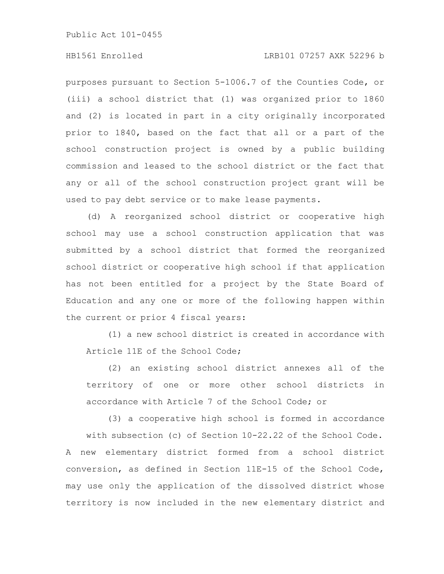# HB1561 Enrolled LRB101 07257 AXK 52296 b

purposes pursuant to Section 5-1006.7 of the Counties Code, or (iii) a school district that (1) was organized prior to 1860 and (2) is located in part in a city originally incorporated prior to 1840, based on the fact that all or a part of the school construction project is owned by a public building commission and leased to the school district or the fact that any or all of the school construction project grant will be used to pay debt service or to make lease payments.

(d) A reorganized school district or cooperative high school may use a school construction application that was submitted by a school district that formed the reorganized school district or cooperative high school if that application has not been entitled for a project by the State Board of Education and any one or more of the following happen within the current or prior 4 fiscal years:

(1) a new school district is created in accordance with Article 11E of the School Code;

(2) an existing school district annexes all of the territory of one or more other school districts in accordance with Article 7 of the School Code; or

(3) a cooperative high school is formed in accordance with subsection (c) of Section 10-22.22 of the School Code. A new elementary district formed from a school district conversion, as defined in Section 11E-15 of the School Code, may use only the application of the dissolved district whose territory is now included in the new elementary district and